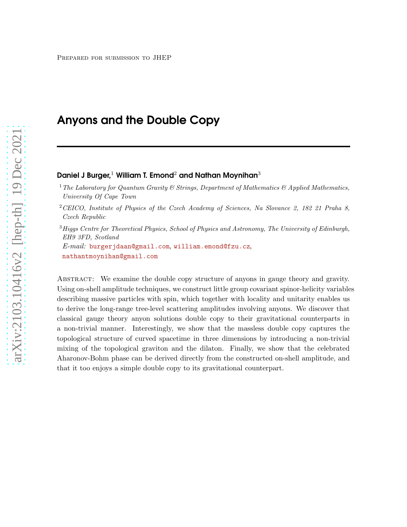# Anyons and the Double Copy

# Daniel J Burger, $1$  William T. Emond<sup>2</sup> and Nathan Moynihan<sup>3</sup>

 $3Higgs$  Centre for Theoretical Physics, School of Physics and Astronomy, The University of Edinburgh, EH9 3FD, Scotland  $E\text{-}mail:$  [burgerjdaan@gmail.com](mailto:burgerjdaan@gmail.com), [william.emond@fzu.cz](mailto:william.emond@fzu.cz),

[nathantmoynihan@gmail.com](mailto:nathantmoynihan@gmail.com)

Abstract: We examine the double copy structure of anyons in gauge theory and gravity. Using on-shell amplitude techniques, we construct little group covariant spinor-helicity variables describing massive particles with spin, which together with locality and unitarity enables us to derive the long-range tree-level scattering amplitudes involving anyons. We discover that classical gauge theory anyon solutions double copy to their gravitational counterparts in a non-trivial manner. Interestingly, we show that the massless double copy captures the topological structure of curved spacetime in three dimensions by introducing a non-trivial mixing of the topological graviton and the dilaton. Finally, we show that the celebrated Aharonov-Bohm phase can be derived directly from the constructed on-shell amplitude, and that it too enjoys a simple double copy to its gravitational counterpart.

<sup>&</sup>lt;sup>1</sup>The Laboratory for Quantum Gravity & Strings, Department of Mathematics & Applied Mathematics, University Of Cape Town

<sup>&</sup>lt;sup>2</sup>CEICO, Institute of Physics of the Czech Academy of Sciences, Na Slovance 2, 182 21 Praha 8, Czech Republic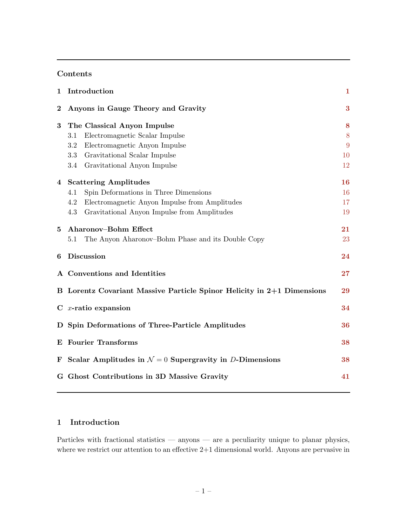# Contents

| 1                | Introduction                                                           | $\mathbf{1}$ |
|------------------|------------------------------------------------------------------------|--------------|
| $\boldsymbol{2}$ | Anyons in Gauge Theory and Gravity                                     | 3            |
| 3                | The Classical Anyon Impulse                                            | 8            |
|                  | Electromagnetic Scalar Impulse<br>3.1                                  | 8            |
|                  | Electromagnetic Anyon Impulse<br>3.2                                   | 9            |
|                  | 3.3<br>Gravitational Scalar Impulse                                    | 10           |
|                  | Gravitational Anyon Impulse<br>3.4                                     | 12           |
| 4                | <b>Scattering Amplitudes</b>                                           | <b>16</b>    |
|                  | Spin Deformations in Three Dimensions<br>4.1                           | 16           |
|                  | 4.2<br>Electromagnetic Anyon Impulse from Amplitudes                   | 17           |
|                  | Gravitational Anyon Impulse from Amplitudes<br>4.3                     | 19           |
| 5                | Aharonov-Bohm Effect                                                   | 21           |
|                  | The Anyon Aharonov-Bohm Phase and its Double Copy<br>5.1               | 23           |
| 6                | <b>Discussion</b>                                                      | 24           |
|                  | A Conventions and Identities                                           | 27           |
|                  | B Lorentz Covariant Massive Particle Spinor Helicity in 2+1 Dimensions | 29           |
|                  | $C$ <i>x</i> -ratio expansion                                          | 34           |
|                  | D Spin Deformations of Three-Particle Amplitudes                       | 36           |
|                  | <b>E</b> Fourier Transforms                                            | 38           |
| F                | Scalar Amplitudes in $\mathcal{N}=0$ Supergravity in D-Dimensions      | 38           |
|                  | G Ghost Contributions in 3D Massive Gravity                            | 41           |

# <span id="page-1-0"></span>1 Introduction

Particles with fractional statistics — anyons — are a peculiarity unique to planar physics, where we restrict our attention to an effective 2+1 dimensional world. Anyons are pervasive in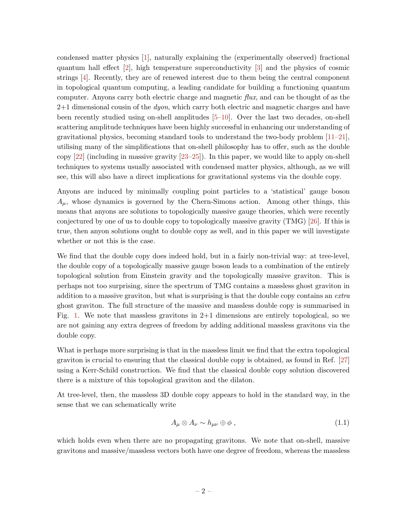condensed matter physics [\[1\]](#page-43-0), naturally explaining the (experimentally observed) fractional quantum hall effect [\[2\]](#page-43-1), high temperature superconductivity [\[3](#page-43-2)] and the physics of cosmic strings [\[4\]](#page-43-3). Recently, they are of renewed interest due to them being the central component in topological quantum computing, a leading candidate for building a functioning quantum computer. Anyons carry both electric charge and magnetic flux, and can be thought of as the  $2+1$  dimensional cousin of the *dyon*, which carry both electric and magnetic charges and have been recently studied using on-shell amplitudes [\[5](#page-43-4)[–10\]](#page-44-0). Over the last two decades, on-shell scattering amplitude techniques have been highly successful in enhancing our understanding of gravitational physics, becoming standard tools to understand the two-body problem [\[11](#page-44-1)[–21](#page-44-2)], utilising many of the simplifications that on-shell philosophy has to offer, such as the double copy [\[22](#page-44-3)] (including in massive gravity [\[23](#page-44-4)[–25\]](#page-44-5)). In this paper, we would like to apply on-shell techniques to systems usually associated with condensed matter physics, although, as we will see, this will also have a direct implications for gravitational systems via the double copy.

Anyons are induced by minimally coupling point particles to a 'statistical' gauge boson  $A_{\mu}$ , whose dynamics is governed by the Chern-Simons action. Among other things, this means that anyons are solutions to topologically massive gauge theories, which were recently conjectured by one of us to double copy to topologically massive gravity (TMG) [\[26](#page-44-6)]. If this is true, then anyon solutions ought to double copy as well, and in this paper we will investigate whether or not this is the case.

We find that the double copy does indeed hold, but in a fairly non-trivial way: at tree-level, the double copy of a topologically massive gauge boson leads to a combination of the entirely topological solution from Einstein gravity and the topologically massive graviton. This is perhaps not too surprising, since the spectrum of TMG contains a massless ghost graviton in addition to a massive graviton, but what is surprising is that the double copy contains an *extra* ghost graviton. The full structure of the massive and massless double copy is summarised in Fig. [1.](#page-1-0) We note that massless gravitons in 2+1 dimensions are entirely topological, so we are not gaining any extra degrees of freedom by adding additional massless gravitons via the double copy.

What is perhaps more surprising is that in the massless limit we find that the extra topological graviton is crucial to ensuring that the classical double copy is obtained, as found in Ref. [\[27](#page-44-7)] using a Kerr-Schild construction. We find that the classical double copy solution discovered there is a mixture of this topological graviton and the dilaton.

At tree-level, then, the massless 3D double copy appears to hold in the standard way, in the sense that we can schematically write

$$
A_{\mu} \otimes A_{\nu} \sim h_{\mu\nu} \oplus \phi , \qquad (1.1)
$$

which holds even when there are no propagating gravitons. We note that on-shell, massive gravitons and massive/massless vectors both have one degree of freedom, whereas the massless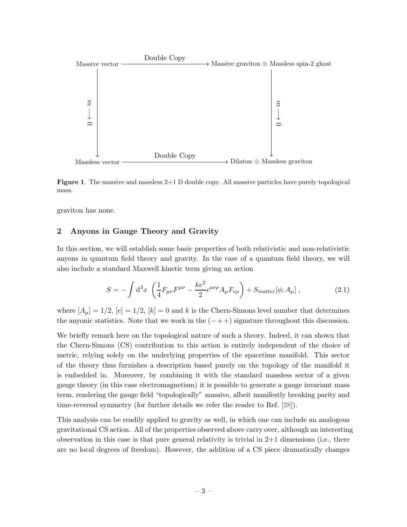

**Figure 1.** The massive and massless  $2+1$  D double copy. All massive particles have purely topological mass.

<span id="page-3-0"></span>graviton has none.

## 2 Anyons in Gauge Theory and Gravity

In this section, we will establish some basic properties of both relativistic and non-relativistic anyons in quantum field theory and gravity. In the case of a quantum field theory, we will also include a standard Maxwell kinetic term giving an action

<span id="page-3-1"></span>
$$
S = -\int d^3x \left( \frac{1}{4} F_{\mu\nu} F^{\mu\nu} - \frac{ke^2}{2} \epsilon^{\mu\nu\rho} A_{\mu} F_{\nu\rho} \right) + S_{matter}[\phi; A_{\mu}] \,, \tag{2.1}
$$

where  $[A_\mu] = 1/2$ ,  $[e] = 1/2$ ,  $[k] = 0$  and k is the Chern-Simons level number that determines the anyonic statistics. Note that we work in the  $(-++)$  signature throughout this discussion.

We briefly remark here on the topological nature of such a theory. Indeed, it can shown that the Chern-Simons (CS) contribution to this action is entirely independent of the choice of metric, relying solely on the underlying properties of the spacetime manifold. This sector of the theory thus furnishes a description based purely on the topology of the manifold it is embedded in. Moreover, by combining it with the standard massless sector of a given gauge theory (in this case electromagnetism) it is possible to generate a gauge invariant mass term, rendering the gauge field "topologically" massive, albeit manifestly breaking parity and time-reversal symmetry (for further details we refer the reader to Ref. [\[28](#page-45-0)]).

This analysis can be readily applied to gravity as well, in which one can include an analogous gravitational CS action. All of the properties observed above carry over, although an interesting observation in this case is that pure general relativity is trivial in  $2+1$  dimensions (i.e., there are no local degrees of freedom). However, the addition of a CS piece dramatically changes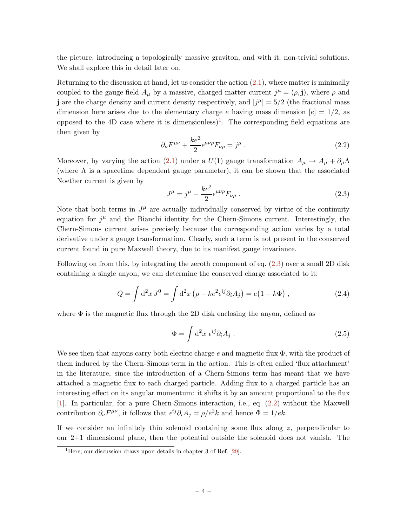the picture, introducing a topologically massive graviton, and with it, non-trivial solutions. We shall explore this in detail later on.

Returning to the discussion at hand, let us consider the action  $(2.1)$ , where matter is minimally coupled to the gauge field  $A_\mu$  by a massive, charged matter current  $j^\mu = (\rho, \mathbf{j})$ , where  $\rho$  and j are the charge density and current density respectively, and  $[j^{\mu}] = 5/2$  (the fractional mass dimension here arises due to the elementary charge e having mass dimension  $|e| = 1/2$ , as opposed to the 4D case where it is dimensionless)<sup>1</sup>. The corresponding field equations are then given by

<span id="page-4-1"></span>
$$
\partial_{\nu}F^{\mu\nu} + \frac{ke^2}{2}\epsilon^{\mu\nu\rho}F_{\nu\rho} = j^{\mu} \ . \tag{2.2}
$$

Moreover, by varying the action [\(2.1\)](#page-3-1) under a  $U(1)$  gauge transformation  $A_{\mu} \to A_{\mu} + \partial_{\mu} \Lambda$ (where  $\Lambda$  is a spacetime dependent gauge parameter), it can be shown that the associated Noether current is given by

<span id="page-4-0"></span>
$$
J^{\mu} = j^{\mu} - \frac{ke^2}{2} \epsilon^{\mu\nu\rho} F_{\nu\rho} \,. \tag{2.3}
$$

Note that both terms in  $J^{\mu}$  are actually individually conserved by virtue of the continuity equation for  $j^{\mu}$  and the Bianchi identity for the Chern-Simons current. Interestingly, the Chern-Simons current arises precisely because the corresponding action varies by a total derivative under a gauge transformation. Clearly, such a term is not present in the conserved current found in pure Maxwell theory, due to its manifest gauge invariance.

Following on from this, by integrating the zeroth component of eq. [\(2.3\)](#page-4-0) over a small 2D disk containing a single anyon, we can determine the conserved charge associated to it:

$$
Q = \int d^2x J^0 = \int d^2x \left( \rho - k e^2 \epsilon^{ij} \partial_i A_j \right) = e \left( 1 - k \Phi \right) , \qquad (2.4)
$$

where  $\Phi$  is the magnetic flux through the 2D disk enclosing the anyon, defined as

$$
\Phi = \int d^2x \ \epsilon^{ij} \partial_i A_j \ . \tag{2.5}
$$

We see then that anyons carry both electric charge  $e$  and magnetic flux  $\Phi$ , with the product of them induced by the Chern-Simons term in the action. This is often called 'flux attachment' in the literature, since the introduction of a Chern-Simons term has meant that we have attached a magnetic flux to each charged particle. Adding flux to a charged particle has an interesting effect on its angular momentum: it shifts it by an amount proportional to the flux [\[1](#page-43-0)]. In particular, for a pure Chern-Simons interaction, i.e., eq. [\(2.2\)](#page-4-1) without the Maxwell contribution  $\partial_{\nu} F^{\mu\nu}$ , it follows that  $\epsilon^{ij} \partial_i A_j = \rho/e^2 k$  and hence  $\Phi = 1/e k$ .

If we consider an infinitely thin solenoid containing some flux along  $z$ , perpendicular to our 2+1 dimensional plane, then the potential outside the solenoid does not vanish. The

 $1$ <sup>1</sup>Here, our discussion draws upon details in chapter 3 of Ref. [\[29](#page-45-1)].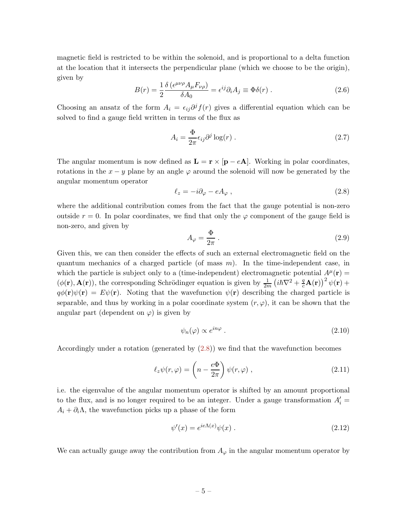magnetic field is restricted to be within the solenoid, and is proportional to a delta function at the location that it intersects the perpendicular plane (which we choose to be the origin), given by

$$
B(r) = \frac{1}{2} \frac{\delta \left(\epsilon^{\mu\nu\rho} A_{\mu} F_{\nu\rho}\right)}{\delta A_0} = \epsilon^{ij} \partial_i A_j \equiv \Phi \delta(r) . \tag{2.6}
$$

Choosing an ansatz of the form  $A_i = \epsilon_{ij}\partial^j f(r)$  gives a differential equation which can be solved to find a gauge field written in terms of the flux as

$$
A_i = \frac{\Phi}{2\pi} \epsilon_{ij} \partial^j \log(r) \tag{2.7}
$$

The angular momentum is now defined as  $\mathbf{L} = \mathbf{r} \times [\mathbf{p} - e\mathbf{A}]$ . Working in polar coordinates, rotations in the  $x - y$  plane by an angle  $\varphi$  around the solenoid will now be generated by the angular momentum operator

<span id="page-5-0"></span>
$$
\ell_z = -i\partial_\varphi - eA_\varphi , \qquad (2.8)
$$

where the additional contribution comes from the fact that the gauge potential is non-zero outside  $r = 0$ . In polar coordinates, we find that only the  $\varphi$  component of the gauge field is non-zero, and given by

$$
A_{\varphi} = \frac{\Phi}{2\pi} \,. \tag{2.9}
$$

Given this, we can then consider the effects of such an external electromagnetic field on the quantum mechanics of a charged particle (of mass  $m$ ). In the time-independent case, in which the particle is subject only to a (time-independent) electromagnetic potential  $A^{\mu}(\mathbf{r}) =$  $(\phi(\mathbf{r}), \mathbf{A}(\mathbf{r}))$ , the corresponding Schrödinger equation is given by  $\frac{1}{2m} (\hat{i} \hbar \nabla^2 + \frac{q}{c} \mathbf{A}(\mathbf{r}))^2 \psi(\mathbf{r}) +$  $q\phi(\mathbf{r})\psi(\mathbf{r}) = E\psi(\mathbf{r})$ . Noting that the wavefunction  $\psi(\mathbf{r})$  describing the charged particle is separable, and thus by working in a polar coordinate system  $(r, \varphi)$ , it can be shown that the angular part (dependent on  $\varphi$ ) is given by

$$
\psi_n(\varphi) \propto e^{in\varphi} \ . \tag{2.10}
$$

Accordingly under a rotation (generated by [\(2.8\)](#page-5-0)) we find that the wavefunction becomes

<span id="page-5-2"></span>
$$
\ell_z \psi(r,\varphi) = \left(n - \frac{e\Phi}{2\pi}\right) \psi(r,\varphi) , \qquad (2.11)
$$

i.e. the eigenvalue of the angular momentum operator is shifted by an amount proportional to the flux, and is no longer required to be an integer. Under a gauge transformation  $A'_i$  $A_i + \partial_i \Lambda$ , the wavefunction picks up a phase of the form

<span id="page-5-1"></span>
$$
\psi'(x) = e^{ie\Lambda(x)}\psi(x) \tag{2.12}
$$

We can actually gauge away the contribution from  $A_{\varphi}$  in the angular momentum operator by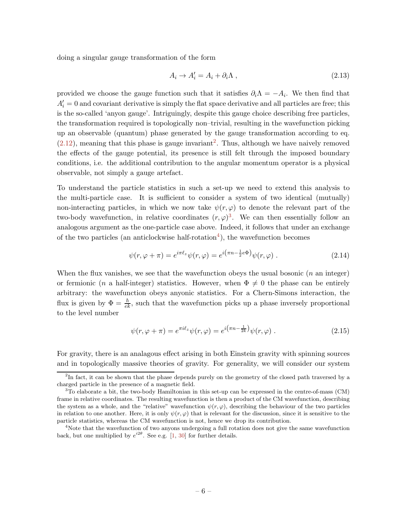doing a singular gauge transformation of the form

$$
A_i \to A'_i = A_i + \partial_i \Lambda \,, \tag{2.13}
$$

provided we choose the gauge function such that it satisfies  $\partial_i \Lambda = -A_i$ . We then find that  $A'_{i} = 0$  and covariant derivative is simply the flat space derivative and all particles are free; this is the so-called 'anyon gauge'. Intriguingly, despite this gauge choice describing free particles, the transformation required is topologically non–trivial, resulting in the wavefunction picking up an observable (quantum) phase generated by the gauge transformation according to eq.  $(2.12)$ , meaning that this phase is gauge invariant<sup>2</sup>. Thus, although we have naively removed the effects of the gauge potential, its presence is still felt through the imposed boundary conditions, i.e. the additional contribution to the angular momentum operator is a physical observable, not simply a gauge artefact.

To understand the particle statistics in such a set-up we need to extend this analysis to the multi-particle case. It is sufficient to consider a system of two identical (mutually) non-interacting particles, in which we now take  $\psi(r, \varphi)$  to denote the relevant part of the two-body wavefunction, in relative coordinates  $(r, \varphi)^3$ . We can then essentially follow an analogous argument as the one-particle case above. Indeed, it follows that under an exchange of the two particles (an anticlockwise half-rotation<sup>4</sup>), the wavefunction becomes

$$
\psi(r,\varphi+\pi) = e^{i\pi\ell_z}\psi(r,\varphi) = e^{i(\pi n - \frac{1}{2}e\Phi)}\psi(r,\varphi) . \tag{2.14}
$$

When the flux vanishes, we see that the wavefunction obeys the usual bosonic  $(n \text{ an integer})$ or fermionic (*n* a half-integer) statistics. However, when  $\Phi \neq 0$  the phase can be entirely arbitrary: the wavefunction obeys anyonic statistics. For a Chern-Simons interaction, the flux is given by  $\Phi = \frac{\hbar}{ek}$ , such that the wavefunction picks up a phase inversely proportional to the level number

$$
\psi(r,\varphi+\pi) = e^{\pi i \ell_z} \psi(r,\varphi) = e^{i(\pi n - \frac{1}{2k})} \psi(r,\varphi) . \tag{2.15}
$$

For gravity, there is an analagous effect arising in both Einstein gravity with spinning sources and in topologically massive theories of gravity. For generality, we will consider our system

 ${}^{2}$ In fact, it can be shown that the phase depends purely on the geometry of the closed path traversed by a charged particle in the presence of a magnetic field.

<sup>3</sup>To elaborate a bit, the two-body Hamiltonian in this set-up can be expressed in the centre-of-mass (CM) frame in relative coordinates. The resulting wavefunction is then a product of the CM wavefunction, describing the system as a whole, and the "relative" wavefunction  $\psi(r,\varphi)$ , describing the behaviour of the two particles in relation to one another. Here, it is only  $\psi(r,\varphi)$  that is relevant for the discussion, since it is sensitive to the particle statistics, whereas the CM wavefunction is not, hence we drop its contribution.

<sup>&</sup>lt;sup>4</sup>Note that the wavefunction of two anyons undergoing a full rotation does not give the same wavefunction back, but one multiplied by  $e^{i2\theta}$ . See e.g. [\[1](#page-43-0), [30\]](#page-45-2) for further details.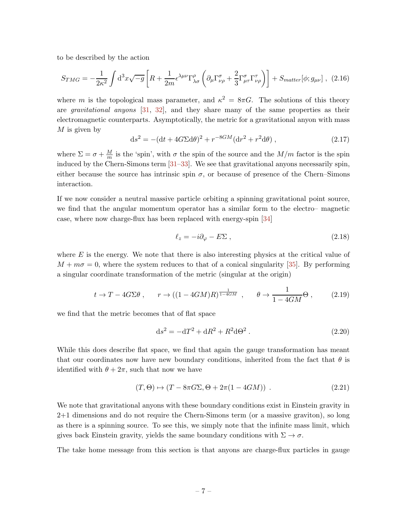to be described by the action

$$
S_{TMG} = -\frac{1}{2\kappa^2} \int \mathrm{d}^3 x \sqrt{-g} \left[ R + \frac{1}{2m} \epsilon^{\lambda \mu \nu} \Gamma^{\rho}_{\lambda \sigma} \left( \partial_{\mu} \Gamma^{\sigma}_{\nu \rho} + \frac{2}{3} \Gamma^{\sigma}_{\mu \tau} \Gamma^{\tau}_{\nu \rho} \right) \right] + S_{matter}[\phi; g_{\mu \nu}] \;, \tag{2.16}
$$

where m is the topological mass parameter, and  $\kappa^2 = 8\pi G$ . The solutions of this theory are gravitational anyons [\[31](#page-45-3), [32\]](#page-45-4), and they share many of the same properties as their electromagnetic counterparts. Asymptotically, the metric for a gravitational anyon with mass  $M$  is given by

$$
ds^{2} = -(dt + 4G\Sigma d\theta)^{2} + r^{-8GM} (dr^{2} + r^{2} d\theta) ,
$$
 (2.17)

where  $\Sigma = \sigma + \frac{M}{m}$  is the 'spin', with  $\sigma$  the spin of the source and the  $M/m$  factor is the spin induced by the Chern-Simons term [\[31](#page-45-3)[–33](#page-45-5)]. We see that gravitational anyons necessarily spin, either because the source has intrinsic spin  $\sigma$ , or because of presence of the Chern–Simons interaction.

If we now consider a neutral massive particle orbiting a spinning gravitational point source, we find that the angular momentum operator has a similar form to the electro– magnetic case, where now charge-flux has been replaced with energy-spin [\[34\]](#page-45-6)

$$
\ell_z = -i\partial_\varphi - E\Sigma \,,\tag{2.18}
$$

where  $E$  is the energy. We note that there is also interesting physics at the critical value of  $M + m\sigma = 0$ , where the system reduces to that of a conical singularity [\[35](#page-45-7)]. By performing a singular coordinate transformation of the metric (singular at the origin)

$$
t \to T - 4G\Sigma\theta \;, \qquad r \to ((1 - 4GM)R)^{\frac{1}{1 - 4GM}} \;, \qquad \theta \to \frac{1}{1 - 4GM}\Theta \;, \tag{2.19}
$$

we find that the metric becomes that of flat space

$$
ds^{2} = -dT^{2} + dR^{2} + R^{2}d\Theta^{2}.
$$
 (2.20)

While this does describe flat space, we find that again the gauge transformation has meant that our coordinates now have new boundary conditions, inherited from the fact that  $\theta$  is identified with  $\theta + 2\pi$ , such that now we have

$$
(T, \Theta) \mapsto (T - 8\pi G\Sigma, \Theta + 2\pi (1 - 4GM)). \tag{2.21}
$$

We note that gravitational anyons with these boundary conditions exist in Einstein gravity in 2+1 dimensions and do not require the Chern-Simons term (or a massive graviton), so long as there is a spinning source. To see this, we simply note that the infinite mass limit, which gives back Einstein gravity, yields the same boundary conditions with  $\Sigma \to \sigma$ .

The take home message from this section is that anyons are charge-flux particles in gauge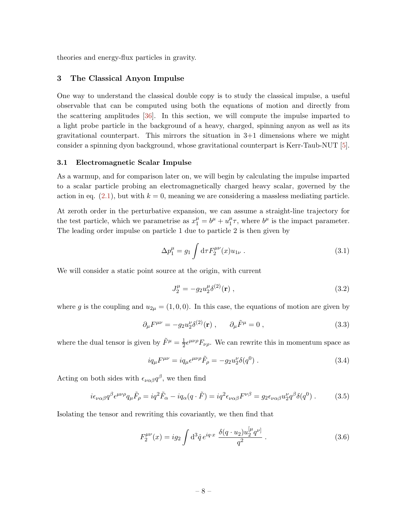<span id="page-8-0"></span>theories and energy-flux particles in gravity.

# 3 The Classical Anyon Impulse

One way to understand the classical double copy is to study the classical impulse, a useful observable that can be computed using both the equations of motion and directly from the scattering amplitudes  $[36]$ . In this section, we will compute the impulse imparted to a light probe particle in the background of a heavy, charged, spinning anyon as well as its gravitational counterpart. This mirrors the situation in  $3+1$  dimensions where we might consider a spinning dyon background, whose gravitational counterpart is Kerr-Taub-NUT [\[5](#page-43-4)].

#### <span id="page-8-1"></span>3.1 Electromagnetic Scalar Impulse

As a warmup, and for comparison later on, we will begin by calculating the impulse imparted to a scalar particle probing an electromagnetically charged heavy scalar, governed by the action in eq.  $(2.1)$ , but with  $k = 0$ , meaning we are considering a massless mediating particle.

At zeroth order in the perturbative expansion, we can assume a straight-line trajectory for the test particle, which we parametrise as  $x_1^{\mu} = b^{\mu} + u_1^{\mu}$  $_{1}^{\mu}$ <sup> $\tau$ </sup>, where  $b^{\mu}$  is the impact parameter. The leading order impulse on particle 1 due to particle 2 is then given by

$$
\Delta p_1^{\mu} = g_1 \int \mathrm{d}\tau F_2^{\mu\nu}(x) u_{1\nu} \,. \tag{3.1}
$$

We will consider a static point source at the origin, with current

$$
J_2^{\mu} = -g_2 u_2^{\mu} \delta^{(2)}(\mathbf{r}) , \qquad (3.2)
$$

where g is the coupling and  $u_{2\mu} = (1, 0, 0)$ . In this case, the equations of motion are given by

$$
\partial_{\mu}F^{\mu\nu} = -g_2 u_2^{\nu} \delta^{(2)}(\mathbf{r}) , \qquad \partial_{\mu}\tilde{F}^{\mu} = 0 , \qquad (3.3)
$$

where the dual tensor is given by  $\tilde{F}^{\mu} = \frac{1}{2}$  $\frac{1}{2} \epsilon^{\mu\nu\rho} F_{\nu\rho}$ . We can rewrite this in momentum space as

$$
iq_{\mu}F^{\mu\nu} = iq_{\mu}\epsilon^{\mu\nu\rho}\tilde{F}_{\rho} = -g_2u_2^{\nu}\delta(q^0) . \qquad (3.4)
$$

Acting on both sides with  $\epsilon_{\nu\alpha\beta}q^{\beta}$ , we then find

$$
i\epsilon_{\nu\alpha\beta}q^{\beta}\epsilon^{\mu\nu\rho}q_{\mu}\tilde{F}_{\rho} = iq^{2}\tilde{F}_{\alpha} - iq_{\alpha}(q\cdot\tilde{F}) = iq^{2}\epsilon_{\nu\alpha\beta}F^{\nu\beta} = g_{2}\epsilon_{\nu\alpha\beta}u_{2}^{\nu}q^{\beta}\delta(q^{0}).
$$
 (3.5)

Isolating the tensor and rewriting this covariantly, we then find that

$$
F_2^{\mu\nu}(x) = ig_2 \int d^3 \hat{q} e^{iq \cdot x} \frac{\delta(q \cdot u_2) u_2^{[\mu} q^{\nu]}}{q^2} . \tag{3.6}
$$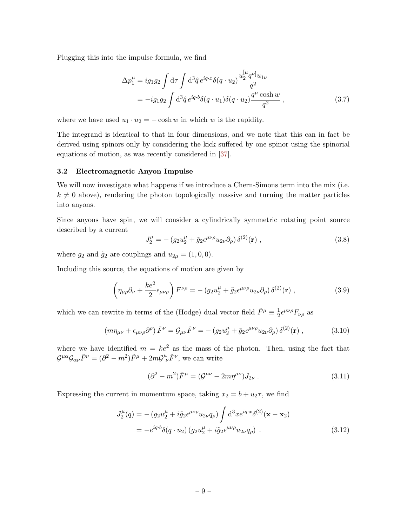Plugging this into the impulse formula, we find

<span id="page-9-1"></span>
$$
\Delta p_1^{\mu} = ig_1 g_2 \int d\tau \int d^3 \hat{q} e^{iq \cdot x} \delta(q \cdot u_2) \frac{u_2^{[\mu} q^{\nu]} u_{1\nu}}{q^2} \n= -ig_1 g_2 \int d^3 \hat{q} e^{iq \cdot b} \delta(q \cdot u_1) \delta(q \cdot u_2) \frac{q^{\mu} \cosh w}{q^2} ,
$$
\n(3.7)

where we have used  $u_1 \cdot u_2 = -\cosh w$  in which w is the rapidity.

The integrand is identical to that in four dimensions, and we note that this can in fact be derived using spinors only by considering the kick suffered by one spinor using the spinorial equations of motion, as was recently considered in [\[37](#page-45-9)].

## <span id="page-9-0"></span>3.2 Electromagnetic Anyon Impulse

We will now investigate what happens if we introduce a Chern-Simons term into the mix (i.e.  $k \neq 0$  above), rendering the photon topologically massive and turning the matter particles into anyons.

Since anyons have spin, we will consider a cylindrically symmetric rotating point source described by a current

$$
J_2^{\mu} = -\left(g_2 u_2^{\mu} + \tilde{g}_2 \epsilon^{\mu\nu\rho} u_{2\nu} \partial_{\rho}\right) \delta^{(2)}(\mathbf{r}) , \qquad (3.8)
$$

where  $g_2$  and  $\tilde{g}_2$  are couplings and  $u_{2\mu} = (1, 0, 0)$ .

Including this source, the equations of motion are given by

$$
\left(\eta_{\mu\rho}\partial_{\nu} + \frac{ke^2}{2}\epsilon_{\mu\nu\rho}\right)F^{\nu\rho} = -\left(g_2u_2^{\mu} + \tilde{g}_2\epsilon^{\mu\nu\rho}u_{2\nu}\partial_{\rho}\right)\delta^{(2)}(\mathbf{r})\,,\tag{3.9}
$$

which we can rewrite in terms of the (Hodge) dual vector field  $\tilde{F}^{\mu} \equiv \frac{1}{2} \epsilon^{\mu\nu\rho} F_{\nu\rho}$  as

$$
(m\eta_{\mu\nu} + \epsilon_{\mu\nu\rho}\partial^{\rho})\tilde{F}^{\nu} = \mathcal{G}_{\mu\nu}\tilde{F}^{\nu} = -(g_2u_2^{\mu} + \tilde{g}_2\epsilon^{\mu\nu\rho}u_{2\nu}\partial_{\rho})\,\delta^{(2)}(\mathbf{r})\,,\tag{3.10}
$$

where we have identified  $m = ke^2$  as the mass of the photon. Then, using the fact that  $\mathcal{G}^{\mu\alpha}\mathcal{G}_{\alpha\nu}\tilde{F}^{\nu} = (\partial^2 - m^2)\tilde{F}^{\mu} + 2m\mathcal{G}^{\mu}_{\ \nu}\tilde{F}^{\nu}$ , we can write

$$
(\partial^2 - m^2)\tilde{F}^{\mu} = (\mathcal{G}^{\mu\nu} - 2m\eta^{\mu\nu})J_{2\nu} . \qquad (3.11)
$$

Expressing the current in momentum space, taking  $x_2 = b + u_2\tau$ , we find

$$
J_2^{\mu}(q) = - (g_2 u_2^{\mu} + i \tilde{g}_2 \epsilon^{\mu \nu \rho} u_{2\nu} q_{\rho}) \int d^3 x e^{iq \cdot x} \delta^{(2)}(\mathbf{x} - \mathbf{x}_2)
$$
  
= 
$$
-e^{iq \cdot b} \delta(q \cdot u_2) (g_2 u_2^{\mu} + i \tilde{g}_2 \epsilon^{\mu \nu \rho} u_{2\nu} q_{\rho}). \qquad (3.12)
$$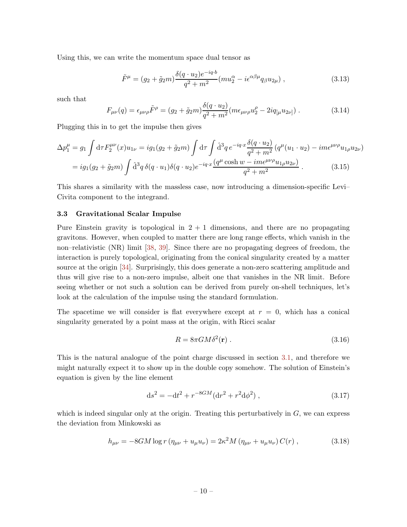Using this, we can write the momentum space dual tensor as

<span id="page-10-1"></span>
$$
\tilde{F}^{\mu} = (g_2 + \tilde{g}_2 m) \frac{\delta(q \cdot u_2) e^{-iq \cdot b}}{q^2 + m^2} (m u_2^{\alpha} - i \epsilon^{\alpha \beta \mu} q_{\beta} u_{2\mu}), \qquad (3.13)
$$

such that

$$
F_{\mu\nu}(q) = \epsilon_{\mu\nu\rho}\tilde{F}^{\rho} = (g_2 + \tilde{g}_2 m) \frac{\delta(q \cdot u_2)}{q^2 + m^2} (m \epsilon_{\mu\nu\rho} u_2^{\rho} - 2iq_{[\mu}u_{2\nu]}) . \tag{3.14}
$$

Plugging this in to get the impulse then gives

$$
\Delta p_1^{\mu} = g_1 \int d\tau F_2^{\mu\nu}(x) u_{1\nu} = ig_1(g_2 + \tilde{g}_2 m) \int d\tau \int d^3q \, e^{-iq \cdot x} \frac{\delta(q \cdot u_2)}{q^2 + m^2} (q^{\mu}(u_1 \cdot u_2) - im\epsilon^{\mu\nu\rho} u_{1\rho} u_{2\nu})
$$
  
=  $ig_1(g_2 + \tilde{g}_2 m) \int d^3q \, \delta(q \cdot u_1) \delta(q \cdot u_2) e^{-iq \cdot x} \frac{(q^{\mu} \cosh w - im\epsilon^{\mu\nu\rho} u_{1\rho} u_{2\nu})}{q^2 + m^2}$ . (3.15)

<span id="page-10-0"></span>This shares a similarity with the massless case, now introducing a dimension-specific Levi– Civita component to the integrand.

#### 3.3 Gravitational Scalar Impulse

Pure Einstein gravity is topological in  $2 + 1$  dimensions, and there are no propagating gravitons. However, when coupled to matter there are long range effects, which vanish in the non–relativistic (NR) limit [\[38,](#page-45-10) [39\]](#page-45-11). Since there are no propagating degrees of freedom, the interaction is purely topological, originating from the conical singularity created by a matter source at the origin [\[34](#page-45-6)]. Surprisingly, this does generate a non-zero scattering amplitude and thus will give rise to a non-zero impulse, albeit one that vanishes in the NR limit. Before seeing whether or not such a solution can be derived from purely on-shell techniques, let's look at the calculation of the impulse using the standard formulation.

The spacetime we will consider is flat everywhere except at  $r = 0$ , which has a conical singularity generated by a point mass at the origin, with Ricci scalar

$$
R = 8\pi GM \delta^2(\mathbf{r}) \,. \tag{3.16}
$$

This is the natural analogue of the point charge discussed in section [3.1,](#page-8-1) and therefore we might naturally expect it to show up in the double copy somehow. The solution of Einstein's equation is given by the line element

$$
ds^{2} = -dt^{2} + r^{-8GM} (dr^{2} + r^{2} d\phi^{2}),
$$
\n(3.17)

which is indeed singular only at the origin. Treating this perturbatively in  $G$ , we can express the deviation from Minkowski as

$$
h_{\mu\nu} = -8GM \log r \left( \eta_{\mu\nu} + u_{\mu} u_{\nu} \right) = 2\kappa^2 M \left( \eta_{\mu\nu} + u_{\mu} u_{\nu} \right) C(r) , \qquad (3.18)
$$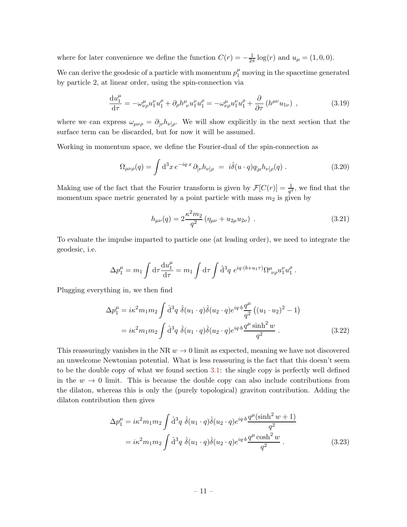where for later convenience we define the function  $C(r) = -\frac{1}{2\pi} \log(r)$  and  $u_{\mu} = (1, 0, 0)$ .

We can derive the geodesic of a particle with momentum  $p_1^{\mu}$  moving in the spacetime generated by particle 2, at linear order, using the spin-connection via

$$
\frac{du_1^{\mu}}{d\tau} = -\omega_{\nu\rho}^{\mu}u_1^{\nu}u_1^{\rho} + \partial_{\rho}h_{\nu}^{\mu}u_1^{\nu}u_1^{\rho} = -\omega_{\nu\rho}^{\mu}u_1^{\nu}u_1^{\rho} + \frac{\partial}{\partial\tau}\left(h^{\mu\nu}u_{1\nu}\right) ,\qquad (3.19)
$$

where we can express  $\omega_{\mu\nu\rho} = \partial_{[\nu}h_{\nu]\rho}$ . We will show explicitly in the next section that the surface term can be discarded, but for now it will be assumed.

Working in momentum space, we define the Fourier-dual of the spin-connection as

$$
\Omega_{\mu\nu\rho}(q) = \int d^3x \, e^{-iq \cdot x} \, \partial_{[\nu} h_{\nu]\rho} \ = \ i\hat{\delta}(u \cdot q) q_{[\mu} h_{\nu]\rho}(q) \,. \tag{3.20}
$$

Making use of the fact that the Fourier transform is given by  $\mathcal{F}[C(r)] = \frac{1}{q^2}$ , we find that the momentum space metric generated by a point particle with mass  $m_2$  is given by

$$
h_{\mu\nu}(q) = 2\frac{\kappa^2 m_2}{q^2} \left(\eta_{\mu\nu} + u_{2\mu} u_{2\nu}\right) \,. \tag{3.21}
$$

To evaluate the impulse imparted to particle one (at leading order), we need to integrate the geodesic, i.e.

$$
\Delta p_1^\mu = m_1 \int {\rm d}\tau \frac{{\rm d}u_1^\mu}{{\rm d}\tau} = m_1 \int {\rm d}\tau \int \hat{\rm d}^3 q\ e^{iq\cdot (b+u_1\tau)} \Omega^\mu_{\ \nu\rho} u_1^\nu u_1^\rho \ .
$$

Plugging everything in, we then find

$$
\Delta p_1^{\mu} = i\kappa^2 m_1 m_2 \int \hat{d}^3 q \ \hat{\delta}(u_1 \cdot q) \hat{\delta}(u_2 \cdot q) e^{iq \cdot b} \frac{q^{\mu}}{q^2} ((u_1 \cdot u_2)^2 - 1)
$$
  
=  $i\kappa^2 m_1 m_2 \int \hat{d}^3 q \ \hat{\delta}(u_1 \cdot q) \hat{\delta}(u_2 \cdot q) e^{iq \cdot b} \frac{q^{\mu} \sinh^2 w}{q^2}$ . (3.22)

This reassuringly vanishes in the NR  $w \to 0$  limit as expected, meaning we have not discovered an unwelcome Newtonian potential. What is less reassuring is the fact that this doesn't seem to be the double copy of what we found section [3.1:](#page-8-1) the single copy is perfectly well defined in the  $w \to 0$  limit. This is because the double copy can also include contributions from the dilaton, whereas this is only the (purely topological) graviton contribution. Adding the dilaton contribution then gives

<span id="page-11-0"></span>
$$
\Delta p_1^{\mu} = i\kappa^2 m_1 m_2 \int \hat{d}^3 q \ \hat{\delta}(u_1 \cdot q) \hat{\delta}(u_2 \cdot q) e^{iq \cdot b} \frac{q^{\mu} (\sinh^2 w + 1)}{q^2} \n= i\kappa^2 m_1 m_2 \int \hat{d}^3 q \ \hat{\delta}(u_1 \cdot q) \hat{\delta}(u_2 \cdot q) e^{iq \cdot b} \frac{q^{\mu} \cosh^2 w}{q^2}.
$$
\n(3.23)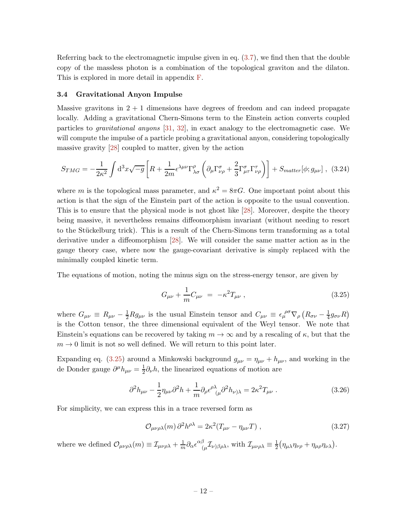Referring back to the electromagnetic impulse given in eq. [\(3.7\)](#page-9-1), we find then that the double copy of the massless photon is a combination of the topological graviton and the dilaton. This is explored in more detail in appendix [F.](#page-38-1)

#### <span id="page-12-0"></span>3.4 Gravitational Anyon Impulse

Massive gravitons in  $2 + 1$  dimensions have degrees of freedom and can indeed propagate locally. Adding a gravitational Chern-Simons term to the Einstein action converts coupled particles to gravitational anyons [\[31](#page-45-3), [32](#page-45-4)], in exact analogy to the electromagnetic case. We will compute the impulse of a particle probing a gravitational anyon, considering topologically massive gravity [\[28\]](#page-45-0) coupled to matter, given by the action

$$
S_{TMG} = -\frac{1}{2\kappa^2} \int d^3x \sqrt{-g} \left[ R + \frac{1}{2m} \epsilon^{\lambda\mu\nu} \Gamma^{\rho}_{\lambda\sigma} \left( \partial_{\mu} \Gamma^{\sigma}_{\nu\rho} + \frac{2}{3} \Gamma^{\sigma}_{\mu\tau} \Gamma^{\tau}_{\nu\rho} \right) \right] + S_{matter}[\phi; g_{\mu\nu}] \ , \ (3.24)
$$

where m is the topological mass parameter, and  $\kappa^2 = 8\pi G$ . One important point about this action is that the sign of the Einstein part of the action is opposite to the usual convention. This is to ensure that the physical mode is not ghost like [\[28](#page-45-0)]. Moreover, despite the theory being massive, it nevertheless remains diffeomorphism invariant (without needing to resort to the Stückelburg trick). This is a result of the Chern-Simons term transforming as a total derivative under a diffeomorphism [\[28](#page-45-0)]. We will consider the same matter action as in the gauge theory case, where now the gauge-covariant derivative is simply replaced with the minimally coupled kinetic term.

The equations of motion, noting the minus sign on the stress-energy tensor, are given by

<span id="page-12-1"></span>
$$
G_{\mu\nu} + \frac{1}{m} C_{\mu\nu} = -\kappa^2 T_{\mu\nu} , \qquad (3.25)
$$

where  $G_{\mu\nu} \equiv R_{\mu\nu} - \frac{1}{2} R g_{\mu\nu}$  is the usual Einstein tensor and  $C_{\mu\nu} \equiv \epsilon_{\mu}^{\ \rho\sigma} \nabla_{\rho} (R_{\sigma\nu} - \frac{1}{4} R g_{\mu\nu})$  $rac{1}{4}g_{\sigma\nu}R$ is the Cotton tensor, the three dimensional equivalent of the Weyl tensor. We note that Einstein's equations can be recovered by taking  $m \to \infty$  and by a rescaling of  $\kappa$ , but that the  $m \to 0$  limit is not so well defined. We will return to this point later.

Expanding eq. [\(3.25\)](#page-12-1) around a Minkowski background  $g_{\mu\nu} = \eta_{\mu\nu} + h_{\mu\nu}$ , and working in the de Donder gauge  $\partial^{\mu}h_{\mu\nu} = \frac{1}{2}$  $\frac{1}{2}\partial_{\nu}h$ , the linearized equations of motion are

$$
\partial^2 h_{\mu\nu} - \frac{1}{2} \eta_{\mu\nu} \partial^2 h + \frac{1}{m} \partial_\rho \epsilon^{\rho \lambda}{}_{(\mu} \partial^2 h_{\nu) \lambda} = 2\kappa^2 T_{\mu\nu} \ . \tag{3.26}
$$

For simplicity, we can express this in a trace reversed form as

<span id="page-12-2"></span>
$$
\mathcal{O}_{\mu\nu\rho\lambda}(m)\,\partial^2 h^{\rho\lambda} = 2\kappa^2 (T_{\mu\nu} - \eta_{\mu\nu}T) \,,\tag{3.27}
$$

where we defined  $\mathcal{O}_{\mu\nu\rho\lambda}(m) \equiv \mathcal{I}_{\mu\nu\rho\lambda} + \frac{1}{m} \partial_\alpha \epsilon^{\alpha\beta}$  $\int_{(\mu}^{\beta} \mathcal{I}_{\nu)\beta\rho\lambda}$ , with  $\mathcal{I}_{\mu\nu\rho\lambda} \equiv \frac{1}{2}$  $\frac{1}{2}(\eta_{\mu\lambda}\eta_{\nu\rho}+\eta_{\mu\rho}\eta_{\nu\lambda}).$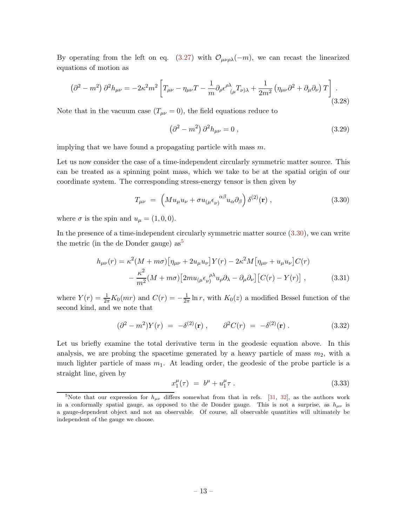By operating from the left on eq. [\(3.27\)](#page-12-2) with  $\mathcal{O}_{\mu\nu\rho\lambda}(-m)$ , we can recast the linearized equations of motion as

$$
\left(\partial^2 - m^2\right)\partial^2 h_{\mu\nu} = -2\kappa^2 m^2 \left[T_{\mu\nu} - \eta_{\mu\nu}T - \frac{1}{m}\partial_{\rho}\epsilon^{\rho\lambda}{}_{(\mu}T_{\nu)\lambda} + \frac{1}{2m^2} \left(\eta_{\mu\nu}\partial^2 + \partial_{\mu}\partial_{\nu}\right)T\right].
$$
\n(3.28)

Note that in the vacuum case  $(T_{\mu\nu} = 0)$ , the field equations reduce to

$$
\left(\partial^2 - m^2\right)\partial^2 h_{\mu\nu} = 0\,,\tag{3.29}
$$

implying that we have found a propagating particle with mass  $m$ .

Let us now consider the case of a time-independent circularly symmetric matter source. This can be treated as a spinning point mass, which we take to be at the spatial origin of our coordinate system. The corresponding stress-energy tensor is then given by

<span id="page-13-0"></span>
$$
T_{\mu\nu} = \left( M u_{\mu} u_{\nu} + \sigma u_{(\mu} \epsilon_{\nu)}^{\alpha\beta} u_{\alpha} \partial_{\beta} \right) \delta^{(2)}(\mathbf{r}) , \qquad (3.30)
$$

where  $\sigma$  is the spin and  $u_{\mu} = (1, 0, 0)$ .

In the presence of a time-independent circularly symmetric matter source  $(3.30)$ , we can write the metric (in the de Donder gauge)  $as^5$ 

$$
h_{\mu\nu}(r) = \kappa^2 (M + m\sigma) \left[ \eta_{\mu\nu} + 2u_{\mu} u_{\nu} \right] Y(r) - 2\kappa^2 M \left[ \eta_{\mu\nu} + u_{\mu} u_{\nu} \right] C(r)
$$

$$
- \frac{\kappa^2}{m^2} (M + m\sigma) \left[ 2m u_{(\mu} \epsilon_{\nu)}^{\ \rho \lambda} u_{\rho} \partial_{\lambda} - \partial_{\mu} \partial_{\nu} \right] \left[ C(r) - Y(r) \right] , \tag{3.31}
$$

where  $Y(r) = \frac{1}{2\pi} K_0(mr)$  and  $C(r) = -\frac{1}{2\pi}$  $\frac{1}{2\pi} \ln r$ , with  $K_0(z)$  a modified Bessel function of the second kind, and we note that

$$
(\partial^2 - m^2)Y(r) = -\delta^{(2)}(r) , \qquad \partial^2 C(r) = -\delta^{(2)}(r) . \qquad (3.32)
$$

Let us briefly examine the total derivative term in the geodesic equation above. In this analysis, we are probing the spacetime generated by a heavy particle of mass  $m_2$ , with a much lighter particle of mass  $m_1$ . At leading order, the geodesic of the probe particle is a straight line, given by

$$
x_1^{\mu}(\tau) = b^{\mu} + u_1^{\mu} \tau \,. \tag{3.33}
$$

<sup>&</sup>lt;sup>5</sup>Note that our expression for  $h_{\mu\nu}$  differs somewhat from that in refs. [\[31,](#page-45-3) [32](#page-45-4)], as the authors work in a conformally spatial gauge, as opposed to the de Donder gauge. This is not a surprise, as  $h_{\mu\nu}$  is a gauge-dependent object and not an observable. Of course, all observable quantities will ultimately be independent of the gauge we choose.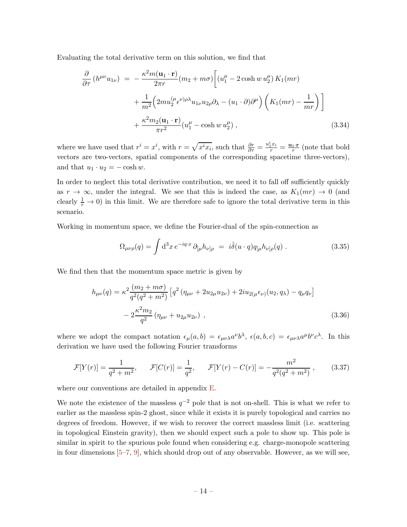Evaluating the total derivative term on this solution, we find that

$$
\frac{\partial}{\partial \tau} \left( h^{\mu\nu} u_{1\nu} \right) = -\frac{\kappa^2 m(\mathbf{u}_1 \cdot \mathbf{r})}{2\pi r} (m_2 + m\sigma) \left[ (u_1^{\mu} - 2 \cosh w u_2^{\mu}) K_1(mr) \right.\n+ \frac{1}{m^2} \left( 2m u_2^{(\mu} \epsilon^{\nu)\rho \lambda} u_{1\nu} u_{2\rho} \partial_\lambda - (u_1 \cdot \partial) \partial^\mu \right) \left( K_1(mr) - \frac{1}{mr} \right) \right]\n+ \frac{\kappa^2 m_2(\mathbf{u}_1 \cdot \mathbf{r})}{\pi r^2} (u_1^{\mu} - \cosh w u_2^{\mu}), \tag{3.34}
$$

where we have used that  $r^i = x^i$ , with  $r = \sqrt{x^i x_i}$ , such that  $\frac{\partial r}{\partial \tau} = \frac{u_1^i x_i}{r} = \frac{u_1 \cdot r}{r}$  (note that bold vectors are two-vectors, spatial components of the corresponding spacetime three-vectors), and that  $u_1 \cdot u_2 = -\cosh w$ .

In order to neglect this total derivative contribution, we need it to fall off sufficiently quickly as  $r \to \infty$ , under the integral. We see that this is indeed the case, as  $K_1(mr) \to 0$  (and clearly  $\frac{1}{r} \to 0$ ) in this limit. We are therefore safe to ignore the total derivative term in this scenario.

Working in momentum space, we define the Fourier-dual of the spin-connection as

$$
\Omega_{\mu\nu\rho}(q) = \int d^3x \, e^{-iq \cdot x} \, \partial_{[\mu} h_{\nu]\rho} \ = \ i \hat{\delta}(u \cdot q) q_{[\mu} h_{\nu]\rho}(q) \ . \tag{3.35}
$$

We find then that the momentum space metric is given by

$$
h_{\mu\nu}(q) = \kappa^2 \frac{(m_2 + m\sigma)}{q^2(q^2 + m^2)} \left[ q^2 \left( \eta_{\mu\nu} + 2u_{2\mu} u_{2\nu} \right) + 2iu_{2(\mu} \epsilon_{\nu)} (u_2, q_\lambda) - q_\mu q_\nu \right] - 2 \frac{\kappa^2 m_2}{q^2} \left( \eta_{\mu\nu} + u_{2\mu} u_{2\nu} \right) ,
$$
 (3.36)

where we adopt the compact notation  $\epsilon_{\mu}(a,b) = \epsilon_{\mu\nu\lambda}a^{\nu}b^{\lambda}$ ,  $\epsilon(a,b,c) = \epsilon_{\mu\nu\lambda}a^{\mu}b^{\nu}c^{\lambda}$ . In this derivation we have used the following Fourier transforms

$$
\mathcal{F}[Y(r)] = \frac{1}{q^2 + m^2}, \qquad \mathcal{F}[C(r)] = \frac{1}{q^2}, \qquad \mathcal{F}[Y(r) - C(r)] = -\frac{m^2}{q^2(q^2 + m^2)}, \qquad (3.37)
$$

where our conventions are detailed in appendix [E.](#page-38-0)

We note the existence of the massless  $q^{-2}$  pole that is not on-shell. This is what we refer to earlier as the massless spin-2 ghost, since while it exists it is purely topological and carries no degrees of freedom. However, if we wish to recover the correct massless limit (i.e. scattering in topological Einstein gravity), then we should expect such a pole to show up. This pole is similar in spirit to the spurious pole found when considering e.g. charge-monopole scattering in four dimensions [\[5](#page-43-4)[–7](#page-43-5), [9\]](#page-44-8), which should drop out of any observable. However, as we will see,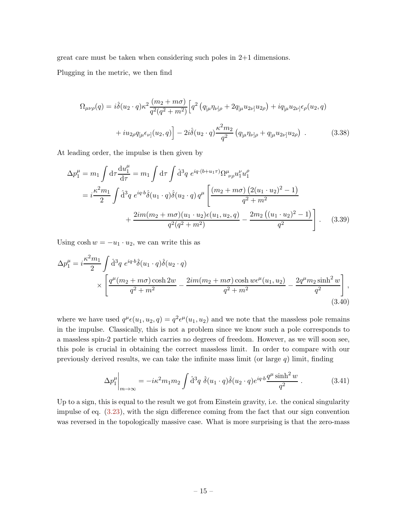great care must be taken when considering such poles in  $2+1$  dimensions.

Plugging in the metric, we then find

$$
\Omega_{\mu\nu\rho}(q) = i\hat{\delta}(u_2 \cdot q)\kappa^2 \frac{(m_2 + m\sigma)}{q^2(q^2 + m^2)} \Big[ q^2 \left( q_{\mu} \eta_{\nu \rho} + 2q_{\mu} u_{2\nu} u_{2\rho} \right) + iq_{\mu} u_{2\nu} \epsilon_{\rho}(u_2, q) + i u_{2\rho} q_{\mu} \epsilon_{\nu \rho}(u_2, q) \Big] - 2i \hat{\delta}(u_2 \cdot q) \frac{\kappa^2 m_2}{q^2} \left( q_{\mu} \eta_{\nu \rho} + q_{\mu} u_{2\nu} u_{2\rho} \right) .
$$
 (3.38)

At leading order, the impulse is then given by

$$
\Delta p_1^{\mu} = m_1 \int d\tau \frac{du_1^{\mu}}{d\tau} = m_1 \int d\tau \int \hat{d}^3 q \ e^{iq \cdot (b + u_1 \tau)} \Omega^{\mu}_{\nu \rho} u_1^{\nu} u_1^{\rho}
$$
  
=  $i \frac{\kappa^2 m_1}{2} \int \hat{d}^3 q \ e^{iq \cdot b} \hat{\delta}(u_1 \cdot q) \hat{\delta}(u_2 \cdot q) q^{\mu} \left[ \frac{(m_2 + m\sigma) (2(u_1 \cdot u_2)^2 - 1)}{q^2 + m^2} + \frac{2im(m_2 + m\sigma)(u_1 \cdot u_2) \epsilon(u_1, u_2, q)}{q^2 (q^2 + m^2)} - \frac{2m_2 ((u_1 \cdot u_2)^2 - 1)}{q^2} \right].$  (3.39)

Using  $\cosh w = -u_1 \cdot u_2$ , we can write this as

$$
\Delta p_1^{\mu} = i \frac{\kappa^2 m_1}{2} \int \hat{\mathrm{d}}^3 q \ e^{iq \cdot b} \hat{\delta}(u_1 \cdot q) \hat{\delta}(u_2 \cdot q) \times \left[ \frac{q^{\mu}(m_2 + m\sigma) \cosh 2w}{q^2 + m^2} - \frac{2im(m_2 + m\sigma) \cosh w \epsilon^{\mu}(u_1, u_2)}{q^2 + m^2} - \frac{2q^{\mu} m_2 \sinh^2 w}{q^2} \right],
$$
\n(3.40)

where we have used  $q^{\mu}\epsilon(u_1, u_2, q) = q^2 \epsilon^{\mu}(u_1, u_2)$  and we note that the massless pole remains in the impulse. Classically, this is not a problem since we know such a pole corresponds to a massless spin-2 particle which carries no degrees of freedom. However, as we will soon see, this pole is crucial in obtaining the correct massless limit. In order to compare with our previously derived results, we can take the infinite mass limit (or large  $q$ ) limit, finding

$$
\Delta p_1^{\mu} \bigg|_{m \to \infty} = -i\kappa^2 m_1 m_2 \int \hat{\mathrm{d}}^3 q \ \hat{\delta}(u_1 \cdot q) \hat{\delta}(u_2 \cdot q) e^{iq \cdot b} \frac{q^{\mu} \sinh^2 w}{q^2} \,. \tag{3.41}
$$

Up to a sign, this is equal to the result we got from Einstein gravity, i.e. the conical singularity impulse of eq. [\(3.23\)](#page-11-0), with the sign difference coming from the fact that our sign convention was reversed in the topologically massive case. What is more surprising is that the zero-mass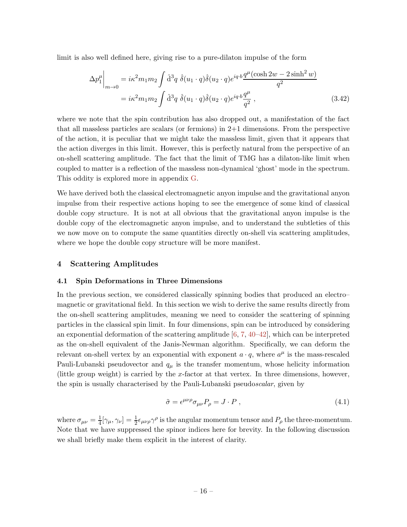limit is also well defined here, giving rise to a pure-dilaton impulse of the form

$$
\Delta p_1^{\mu} \bigg|_{m \to 0} = i\kappa^2 m_1 m_2 \int \hat{\mathrm{d}}^3 q \ \hat{\delta}(u_1 \cdot q) \hat{\delta}(u_2 \cdot q) e^{iq \cdot b} \frac{q^{\mu} (\cosh 2w - 2 \sinh^2 w)}{q^2} \n= i\kappa^2 m_1 m_2 \int \hat{\mathrm{d}}^3 q \ \hat{\delta}(u_1 \cdot q) \hat{\delta}(u_2 \cdot q) e^{iq \cdot b} \frac{q^{\mu}}{q^2},
$$
\n(3.42)

where we note that the spin contribution has also dropped out, a manifestation of the fact that all massless particles are scalars (or fermions) in  $2+1$  dimensions. From the perspective of the action, it is peculiar that we might take the massless limit, given that it appears that the action diverges in this limit. However, this is perfectly natural from the perspective of an on-shell scattering amplitude. The fact that the limit of TMG has a dilaton-like limit when coupled to matter is a reflection of the massless non-dynamical 'ghost' mode in the spectrum. This oddity is explored more in appendix [G.](#page-41-0)

We have derived both the classical electromagnetic anyon impulse and the gravitational anyon impulse from their respective actions hoping to see the emergence of some kind of classical double copy structure. It is not at all obvious that the gravitational anyon impulse is the double copy of the electromagnetic anyon impulse, and to understand the subtleties of this we now move on to compute the same quantities directly on-shell via scattering amplitudes, where we hope the double copy structure will be more manifest.

# <span id="page-16-1"></span><span id="page-16-0"></span>4 Scattering Amplitudes

# 4.1 Spin Deformations in Three Dimensions

In the previous section, we considered classically spinning bodies that produced an electro– magnetic or gravitational field. In this section we wish to derive the same results directly from the on-shell scattering amplitudes, meaning we need to consider the scattering of spinning particles in the classical spin limit. In four dimensions, spin can be introduced by considering an exponential deformation of the scattering amplitude  $[6, 7, 40-42]$  $[6, 7, 40-42]$  $[6, 7, 40-42]$  $[6, 7, 40-42]$  $[6, 7, 40-42]$ , which can be interpreted as the on-shell equivalent of the Janis-Newman algorithm. Specifically, we can deform the relevant on-shell vertex by an exponential with exponent  $a \cdot q$ , where  $a^{\mu}$  is the mass-rescaled Pauli-Lubanski pseudovector and  $q_{\mu}$  is the transfer momentum, whose helicity information (little group weight) is carried by the x-factor at that vertex. In three dimensions, however, the spin is usually characterised by the Pauli-Lubanski pseudoscalar, given by

$$
\tilde{\sigma} = \epsilon^{\mu\nu\rho}\sigma_{\mu\nu}P_{\rho} = J \cdot P , \qquad (4.1)
$$

where  $\sigma_{\mu\nu} = \frac{1}{4}$  $\frac{1}{4}[\gamma_\mu, \gamma_\nu] = \frac{1}{2} \epsilon_{\mu\nu\rho} \gamma^\rho$  is the angular momentum tensor and  $P_\rho$  the three-momentum. Note that we have suppressed the spinor indices here for brevity. In the following discussion we shall briefly make them explicit in the interest of clarity.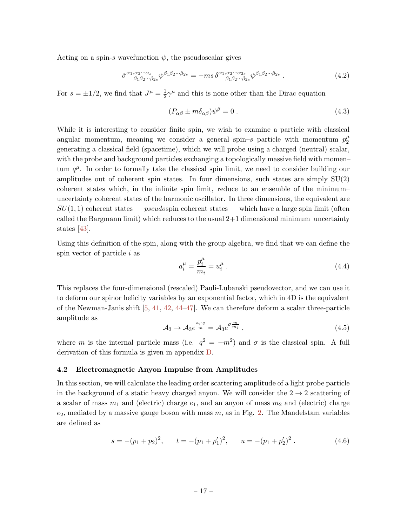Acting on a spin-s wavefunction  $\psi$ , the pseudoscalar gives

$$
\tilde{\sigma}_{\beta_1 \beta_2 \cdots \beta_{2s}}^{\alpha_1, \alpha_2 \cdots \alpha_s} \psi^{\beta_1 \beta_2 \cdots \beta_{2s}} = -m s \, \delta_{\beta_1 \beta_2 \cdots \beta_{2s}}^{\alpha_1, \alpha_2 \cdots \alpha_{2s}} \psi^{\beta_1 \beta_2 \cdots \beta_{2s}} \,. \tag{4.2}
$$

For  $s = \pm 1/2$ , we find that  $J^{\mu} = \frac{1}{2}$  $\frac{1}{2}\gamma^{\mu}$  and this is none other than the Dirac equation

$$
(P_{\alpha\beta} \pm m\delta_{\alpha\beta})\psi^{\beta} = 0.
$$
\n(4.3)

While it is interesting to consider finite spin, we wish to examine a particle with classical angular momentum, meaning we consider a general spin–s particle with momentum  $p_2^{\mu}$ 2 generating a classical field (spacetime), which we will probe using a charged (neutral) scalar, with the probe and background particles exchanging a topologically massive field with momen– tum  $q^{\mu}$ . In order to formally take the classical spin limit, we need to consider building our amplitudes out of coherent spin states. In four dimensions, such states are simply SU(2) coherent states which, in the infinite spin limit, reduce to an ensemble of the minimum– uncertainty coherent states of the harmonic oscillator. In three dimensions, the equivalent are  $SU(1,1)$  coherent states — *pseudospin* coherent states — which have a large spin limit (often called the Bargmann limit) which reduces to the usual  $2+1$  dimensional minimum–uncertainty states [\[43\]](#page-45-14).

Using this definition of the spin, along with the group algebra, we find that we can define the spin vector of particle i as

$$
a_i^{\mu} = \frac{p_i^{\mu}}{m_i} = u_i^{\mu} \tag{4.4}
$$

This replaces the four-dimensional (rescaled) Pauli-Lubanski pseudovector, and we can use it to deform our spinor helicity variables by an exponential factor, which in 4D is the equivalent of the Newman-Janis shift  $[5, 41, 42, 44-47]$  $[5, 41, 42, 44-47]$  $[5, 41, 42, 44-47]$  $[5, 41, 42, 44-47]$  $[5, 41, 42, 44-47]$  $[5, 41, 42, 44-47]$  $[5, 41, 42, 44-47]$ . We can therefore deform a scalar three-particle amplitude as

$$
\mathcal{A}_3 \to \mathcal{A}_3 e^{\frac{a_i \cdot q}{m}} = \mathcal{A}_3 e^{\sigma \frac{m}{m_i}}, \qquad (4.5)
$$

<span id="page-17-0"></span>where m is the internal particle mass (i.e.  $q^2 = -m^2$ ) and  $\sigma$  is the classical spin. A full derivation of this formula is given in appendix [D.](#page-36-0)

# 4.2 Electromagnetic Anyon Impulse from Amplitudes

In this section, we will calculate the leading order scattering amplitude of a light probe particle in the background of a static heavy charged anyon. We will consider the  $2 \rightarrow 2$  scattering of a scalar of mass  $m_1$  and (electric) charge  $e_1$ , and an anyon of mass  $m_2$  and (electric) charge  $e_2$ , mediated by a massive gauge boson with mass  $m$ , as in Fig. [2.](#page-18-0) The Mandelstam variables are defined as

$$
s = -(p_1 + p_2)^2, \qquad t = -(p_1 + p_1')^2, \qquad u = -(p_1 + p_2')^2. \tag{4.6}
$$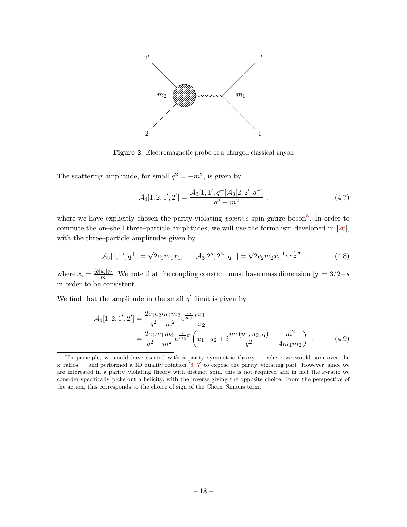

<span id="page-18-0"></span>Figure 2. Electromagnetic probe of a charged classical anyon

The scattering amplitude, for small  $q^2 = -m^2$ , is given by

$$
\mathcal{A}_4[1,2,1',2'] = \frac{\mathcal{A}_3[1,1',q^+]\mathcal{A}_3[2,2',q^-]}{q^2+m^2} ,\qquad (4.7)
$$

where we have explicitly chosen the parity-violating *positive* spin gauge boson<sup>6</sup>. In order to compute the on–shell three–particle amplitudes, we will use the formalism developed in [\[26](#page-44-6)], with the three–particle amplitudes given by

$$
\mathcal{A}_3[1,1',q^+] = \sqrt{2}e_1m_1x_1, \qquad \mathcal{A}_3[2^s,2'^s,q^-] = \sqrt{2}e_2m_2x_2^{-1}e^{\frac{m}{m_2}\sigma}.
$$
 (4.8)

where  $x_i = \frac{\langle q | u_i | q \rangle}{m}$ . We note that the coupling constant must have mass dimension  $[g] = 3/2-s$ in order to be consistent.

We find that the amplitude in the small  $q^2$  limit is given by

$$
\mathcal{A}_4[1, 2, 1', 2'] = \frac{2e_1 e_2 m_1 m_2}{q^2 + m^2} e^{\frac{m}{m_2} \sigma} \frac{x_1}{x_2}
$$
  
= 
$$
\frac{2e_1 m_1 m_2}{q^2 + m^2} e^{\frac{m}{m_2} \sigma} \left( u_1 \cdot u_2 + i \frac{m \epsilon (u_1, u_2, q)}{q^2} + \frac{m^2}{4 m_1 m_2} \right) .
$$
 (4.9)

 ${}^{6}$ In principle, we could have started with a parity symmetric theory — where we would sum over the x–ratios — and performed a 3D duality rotation  $[6, 7]$  $[6, 7]$  to expose the parity–violating part. However, since we are interested in a parity–violating theory with distinct spin, this is not required and in fact the x-ratio we consider specifically picks out a helicity, with the inverse giving the opposite choice. From the perspective of the action, this corresponds to the choice of sign of the Chern–Simons term.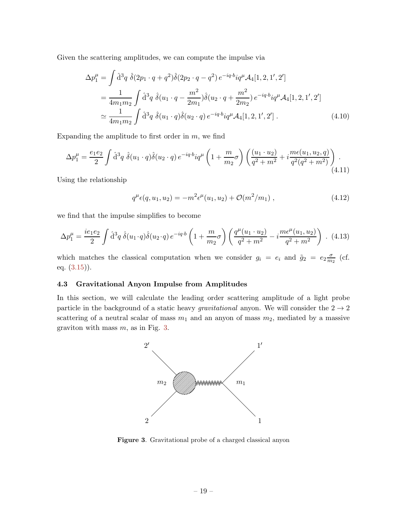Given the scattering amplitudes, we can compute the impulse via

$$
\Delta p_1^{\mu} = \int \hat{\mathrm{d}}^3 q \ \hat{\delta}(2p_1 \cdot q + q^2) \hat{\delta}(2p_2 \cdot q - q^2) \, e^{-iq \cdot b} i q^{\mu} \mathcal{A}_4[1, 2, 1', 2'] \n= \frac{1}{4m_1 m_2} \int \hat{\mathrm{d}}^3 q \ \hat{\delta}(u_1 \cdot q - \frac{m^2}{2m_1}) \hat{\delta}(u_2 \cdot q + \frac{m^2}{2m_2}) \, e^{-iq \cdot b} i q^{\mu} \mathcal{A}_4[1, 2, 1', 2'] \n\approx \frac{1}{4m_1 m_2} \int \hat{\mathrm{d}}^3 q \ \hat{\delta}(u_1 \cdot q) \hat{\delta}(u_2 \cdot q) \, e^{-iq \cdot b} i q^{\mu} \mathcal{A}_4[1, 2, 1', 2'] .
$$
\n(4.10)

Expanding the amplitude to first order in  $m$ , we find

$$
\Delta p_1^{\mu} = \frac{e_1 e_2}{2} \int \hat{\mathrm{d}}^3 q \ \hat{\delta}(u_1 \cdot q) \hat{\delta}(u_2 \cdot q) \, e^{-iq \cdot b} i q^{\mu} \left( 1 + \frac{m}{m_2} \sigma \right) \left( \frac{(u_1 \cdot u_2)}{q^2 + m^2} + i \frac{m \epsilon(u_1, u_2, q)}{q^2 (q^2 + m^2)} \right). \tag{4.11}
$$

Using the relationship

$$
q^{\mu}\epsilon(q, u_1, u_2) = -m^2\epsilon^{\mu}(u_1, u_2) + \mathcal{O}(m^2/m_1) , \qquad (4.12)
$$

we find that the impulse simplifies to become

$$
\Delta p_1^{\mu} = \frac{i e_1 e_2}{2} \int \hat{\mathrm{d}}^3 q \, \hat{\delta}(u_1 \cdot q) \hat{\delta}(u_2 \cdot q) \, e^{-i q \cdot b} \left( 1 + \frac{m}{m_2} \sigma \right) \left( \frac{q^{\mu}(u_1 \cdot u_2)}{q^2 + m^2} - i \frac{m \epsilon^{\mu}(u_1, u_2)}{q^2 + m^2} \right) \, . \tag{4.13}
$$

<span id="page-19-0"></span>which matches the classical computation when we consider  $g_i = e_i$  and  $\tilde{g}_2 = e_2 \frac{\sigma}{m}$  $\frac{\sigma}{m_2}$  (cf. eq.  $(3.15)$ .

## 4.3 Gravitational Anyon Impulse from Amplitudes

In this section, we will calculate the leading order scattering amplitude of a light probe particle in the background of a static heavy *gravitational* anyon. We will consider the  $2 \rightarrow 2$ scattering of a neutral scalar of mass  $m_1$  and an anyon of mass  $m_2$ , mediated by a massive graviton with mass  $m$ , as in Fig. [3.](#page-19-1)



<span id="page-19-1"></span>Figure 3. Gravitational probe of a charged classical anyon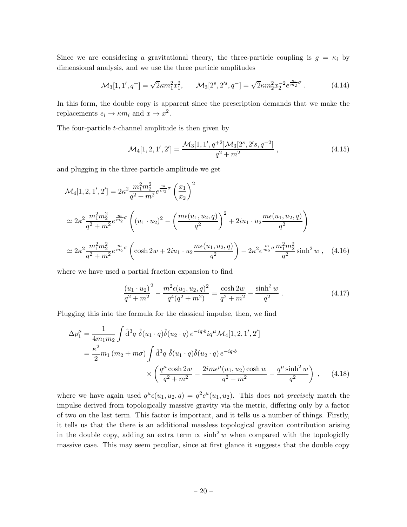Since we are considering a gravitational theory, the three-particle coupling is  $g = \kappa_i$  by dimensional analysis, and we use the three particle amplitudes

$$
\mathcal{M}_3[1,1',q^+] = \sqrt{2}\kappa m_1^2 x_1^2, \qquad \mathcal{M}_3[2^s,2'^s,q^-] = \sqrt{2}\kappa m_2^2 x_2^{-2} e^{\frac{m}{m_2}\sigma} \,. \tag{4.14}
$$

In this form, the double copy is apparent since the prescription demands that we make the replacements  $e_i \to \kappa m_i$  and  $x \to x^2$ .

The four-particle t-channel amplitude is then given by

$$
\mathcal{M}_4[1, 2, 1', 2'] = \frac{\mathcal{M}_3[1, 1', q^{+2}]\mathcal{M}_3[2^s, 2's, q^{-2}]}{q^2 + m^2}, \qquad (4.15)
$$

and plugging in the three-particle amplitude we get

$$
\mathcal{M}_{4}[1, 2, 1', 2'] = 2\kappa^{2} \frac{m_{1}^{2} m_{2}^{2}}{q^{2} + m^{2}} e^{\frac{m}{m_{2}} \sigma} \left(\frac{x_{1}}{x_{2}}\right)^{2}
$$
\n
$$
\simeq 2\kappa^{2} \frac{m_{1}^{2} m_{2}^{2}}{q^{2} + m^{2}} e^{\frac{m}{m_{2}} \sigma} \left((u_{1} \cdot u_{2})^{2} - \left(\frac{m\epsilon(u_{1}, u_{2}, q)}{q^{2}}\right)^{2} + 2iu_{1} \cdot u_{2} \frac{m\epsilon(u_{1}, u_{2}, q)}{q^{2}}\right)
$$
\n
$$
\simeq 2\kappa^{2} \frac{m_{1}^{2} m_{2}^{2}}{q^{2} + m^{2}} e^{\frac{m}{m_{2}} \sigma} \left(\cosh 2w + 2iu_{1} \cdot u_{2} \frac{m\epsilon(u_{1}, u_{2}, q)}{q^{2}}\right) - 2\kappa^{2} e^{\frac{m}{m_{2}} \sigma} \frac{m_{1}^{2} m_{2}^{2}}{q^{2}} \sinh^{2} w \ , \quad (4.16)
$$

where we have used a partial fraction expansion to find

$$
\frac{(u_1 \cdot u_2)^2}{q^2 + m^2} - \frac{m^2 \epsilon (u_1, u_2, q)^2}{q^4 (q^2 + m^2)} = \frac{\cosh 2w}{q^2 + m^2} - \frac{\sinh^2 w}{q^2}.
$$
\n(4.17)

Plugging this into the formula for the classical impulse, then, we find

$$
\Delta p_1^{\mu} = \frac{1}{4m_1m_2} \int \hat{d}^3 q \ \hat{\delta}(u_1 \cdot q) \hat{\delta}(u_2 \cdot q) e^{-iq \cdot b} i q^{\mu} \mathcal{M}_4[1, 2, 1', 2'] \n= \frac{\kappa^2}{2} m_1 (m_2 + m\sigma) \int \hat{d}^3 q \ \hat{\delta}(u_1 \cdot q) \hat{\delta}(u_2 \cdot q) e^{-iq \cdot b} \n\times \left( \frac{q^{\mu} \cosh 2w}{q^2 + m^2} - \frac{2im\epsilon^{\mu}(u_1, u_2) \cosh w}{q^2 + m^2} - \frac{q^{\mu} \sinh^2 w}{q^2} \right) , \quad (4.18)
$$

where we have again used  $q^{\mu}\epsilon(u_1, u_2, q) = q^2 \epsilon^{\mu}(u_1, u_2)$ . This does not *precisely* match the impulse derived from topologically massive gravity via the metric, differing only by a factor of two on the last term. This factor is important, and it tells us a number of things. Firstly, it tells us that the there is an additional massless topological graviton contribution arising in the double copy, adding an extra term  $\propto \sinh^2 w$  when compared with the topologiclly massive case. This may seem peculiar, since at first glance it suggests that the double copy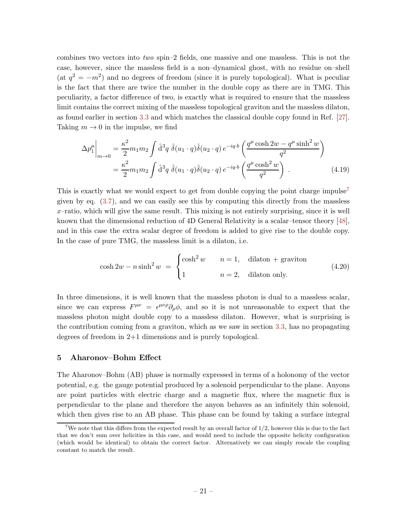combines two vectors into two spin–2 fields, one massive and one massless. This is not the case, however, since the massless field is a non–dynamical ghost, with no residue on–shell (at  $q^2 = -m^2$ ) and no degrees of freedom (since it is purely topological). What is peculiar is the fact that there are twice the number in the double copy as there are in TMG. This peculiarity, a factor difference of two, is exactly what is required to ensure that the massless limit contains the correct mixing of the massless topological graviton and the massless dilaton, as found earlier in section [3.3](#page-10-0) and which matches the classical double copy found in Ref. [\[27](#page-44-7)]. Taking  $m \to 0$  in the impulse, we find

$$
\Delta p_1^{\mu} \bigg|_{m \to 0} = \frac{\kappa^2}{2} m_1 m_2 \int \hat{d}^3 q \ \hat{\delta}(u_1 \cdot q) \hat{\delta}(u_2 \cdot q) \, e^{-iq \cdot b} \left( \frac{q^{\mu} \cosh 2w - q^{\mu} \sinh^2 w}{q^2} \right)
$$
\n
$$
= \frac{\kappa^2}{2} m_1 m_2 \int \hat{d}^3 q \ \hat{\delta}(u_1 \cdot q) \hat{\delta}(u_2 \cdot q) \, e^{-iq \cdot b} \left( \frac{q^{\mu} \cosh^2 w}{q^2} \right) \,. \tag{4.19}
$$

This is exactly what we would expect to get from double copying the point charge impulse<sup>7</sup> given by eq. [\(3.7\)](#page-9-1), and we can easily see this by computing this directly from the massless  $x$ –ratio, which will give the same result. This mixing is not entirely surprising, since it is well known that the dimensional reduction of 4D General Relativity is a scalar–tensor theory [\[48](#page-45-18)], and in this case the extra scalar degree of freedom is added to give rise to the double copy. In the case of pure TMG, the massless limit is a dilaton, i.e.

$$
\cosh 2w - n \sinh^2 w = \begin{cases} \cosh^2 w & n = 1, \quad \text{dilaton} + \text{graviton} \\ 1 & n = 2, \quad \text{dilaton only.} \end{cases} \tag{4.20}
$$

In three dimensions, it is well known that the massless photon is dual to a massless scalar, since we can express  $F^{\mu\nu} = \epsilon^{\mu\nu\rho}\partial_{\rho}\phi$ , and so it is not unreasonable to expect that the massless photon might double copy to a massless dilaton. However, what is surprising is the contribution coming from a graviton, which as we saw in section [3.3,](#page-10-0) has no propagating degrees of freedom in 2+1 dimensions and is purely topological.

#### <span id="page-21-0"></span>5 Aharonov–Bohm Effect

The Aharonov–Bohm (AB) phase is normally expressed in terms of a holonomy of the vector potential, e.g. the gauge potential produced by a solenoid perpendicular to the plane. Anyons are point particles with electric charge and a magnetic flux, where the magnetic flux is perpendicular to the plane and therefore the anyon behaves as an infinitely thin solenoid, which then gives rise to an AB phase. This phase can be found by taking a surface integral

<sup>&</sup>lt;sup>7</sup>We note that this differs from the expected result by an overall factor of  $1/2$ , however this is due to the fact that we don't sum over helicities in this case, and would need to include the opposite helicity configuration (which would be identical) to obtain the correct factor. Alternatively we can simply rescale the coupling constant to match the result.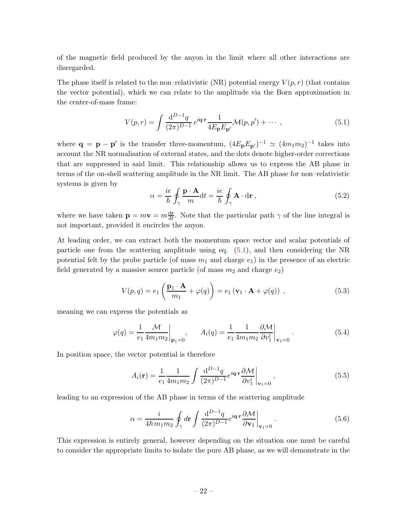of the magnetic field produced by the anyon in the limit where all other interactions are disregarded.

The phase itself is related to the non–relativistic (NR) potential energy  $V(p,r)$  (that contains the vector potential), which we can relate to the amplitude via the Born approximation in the center-of-mass frame:

<span id="page-22-0"></span>
$$
V(p,r) = \int \frac{\mathrm{d}^{D-1}q}{(2\pi)^{D-1}} e^{i\mathbf{q}\cdot\mathbf{r}} \frac{1}{4E_{\mathbf{p}}E_{\mathbf{p}'}} \mathcal{M}(p,p') + \cdots , \qquad (5.1)
$$

where  $\mathbf{q} = \mathbf{p} - \mathbf{p}'$  is the transfer three-momentum,  $(4E_{\mathbf{p}}E_{\mathbf{p}'})^{-1} \simeq (4m_1m_2)^{-1}$  takes into account the NR normalisation of external states, and the dots denote higher-order corrections that are suppressed in said limit. This relationship allows us to express the AB phase in terms of the on-shell scattering amplitude in the NR limit. The AB phase for non–relativistic systems is given by

$$
\alpha = \frac{ie}{\hbar} \oint_{\gamma} \frac{\mathbf{p} \cdot \mathbf{A}}{m} dt = \frac{ie}{\hbar} \oint_{\gamma} \mathbf{A} \cdot d\mathbf{r}, \qquad (5.2)
$$

where we have taken  $\mathbf{p} = m\mathbf{v} = m\frac{d\mathbf{r}}{dt}$ . Note that the particular path  $\gamma$  of the line integral is not important, provided it encircles the anyon.

At leading order, we can extract both the momentum space vector and scalar potentials of particle one from the scattering amplitude using eq. [\(5.1\)](#page-22-0), and then considering the NR potential felt by the probe particle (of mass  $m_1$  and charge  $e_1$ ) in the presence of an electric field generated by a massive source particle (of mass  $m_2$  and charge  $e_2$ )

$$
V(p,q) = e_1 \left( \frac{\mathbf{p}_1 \cdot \mathbf{A}}{m_1} + \varphi(q) \right) = e_1 \left( \mathbf{v}_1 \cdot \mathbf{A} + \varphi(q) \right) , \qquad (5.3)
$$

meaning we can express the potentials as

$$
\varphi(q) = \frac{1}{e_1} \frac{\mathcal{M}}{4m_1 m_2} \bigg|_{\mathbf{p}_1 = 0}, \qquad A_i(q) = \frac{1}{e_1} \frac{1}{4m_1 m_2} \frac{\partial \mathcal{M}}{\partial v_1^i} \bigg|_{\mathbf{v}_1 = 0}.
$$
 (5.4)

In position space, the vector potential is therefore

$$
A_i(\mathbf{r}) = \frac{1}{e_1} \frac{1}{4m_1 m_2} \int \frac{\mathrm{d}^{D-1}q}{(2\pi)^{D-1}} e^{i\mathbf{q} \cdot \mathbf{r}} \frac{\partial \mathcal{M}}{\partial v_1^i} \bigg|_{\mathbf{v}_1 = 0},\tag{5.5}
$$

leading to an expression of the AB phase in terms of the scattering amplitude

<span id="page-22-1"></span>
$$
\alpha = \frac{i}{4\hbar m_1 m_2} \oint_{\gamma} d\mathbf{r} \int \frac{\mathrm{d}^{D-1} q}{(2\pi)^{D-1}} e^{i\mathbf{q} \cdot \mathbf{r}} \frac{\partial \mathcal{M}}{\partial \mathbf{v}_1} \bigg|_{\mathbf{v}_1 = 0} . \tag{5.6}
$$

This expression is entirely general, however depending on the situation one must be careful to consider the appropriate limits to isolate the pure AB phase, as we will demonstrate in the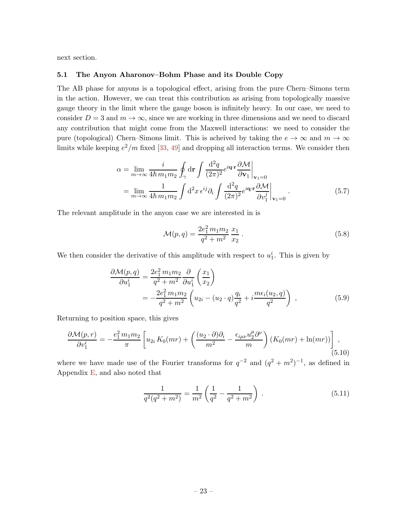<span id="page-23-0"></span>next section.

#### 5.1 The Anyon Aharonov–Bohm Phase and its Double Copy

The AB phase for anyons is a topological effect, arising from the pure Chern–Simons term in the action. However, we can treat this contribution as arising from topologically massive gauge theory in the limit where the gauge boson is infinitely heavy. In our case, we need to consider  $D = 3$  and  $m \to \infty$ , since we are working in three dimensions and we need to discard any contribution that might come from the Maxwell interactions: we need to consider the pure (topological) Chern–Simons limit. This is acheived by taking the  $e \to \infty$  and  $m \to \infty$ limits while keeping  $e^2/m$  fixed [\[33,](#page-45-5) [49\]](#page-46-0) and dropping all interaction terms. We consider then

$$
\alpha = \lim_{m \to \infty} \frac{i}{4\hbar m_1 m_2} \oint_{\gamma} d\mathbf{r} \int \frac{d^2 q}{(2\pi)^2} e^{i\mathbf{q} \cdot \mathbf{r}} \frac{\partial \mathcal{M}}{\partial \mathbf{v}_1} \Big|_{\mathbf{v}_1 = 0}
$$
  
= 
$$
\lim_{m \to \infty} \frac{1}{4\hbar m_1 m_2} \int d^2 x \, e^{ij} \partial_i \int \frac{d^2 q}{(2\pi)^2} e^{i\mathbf{q} \cdot \mathbf{r}} \frac{\partial \mathcal{M}}{\partial v_1^j} \Big|_{\mathbf{v}_1 = 0} .
$$
 (5.7)

The relevant amplitude in the anyon case we are interested in is

$$
\mathcal{M}(p,q) = \frac{2e_1^2 m_1 m_2}{q^2 + m^2} \frac{x_1}{x_2} \,. \tag{5.8}
$$

We then consider the derivative of this amplitude with respect to  $u_1^i$ . This is given by

$$
\frac{\partial \mathcal{M}(p,q)}{\partial u_1^i} = \frac{2e_1^2 m_1 m_2}{q^2 + m^2} \frac{\partial}{\partial u_1^i} \left(\frac{x_1}{x_2}\right) \n= -\frac{2e_1^2 m_1 m_2}{q^2 + m^2} \left(u_{2i} - (u_2 \cdot q) \frac{q_i}{q^2} + i \frac{m \epsilon_i(u_2, q)}{q^2}\right) ,
$$
\n(5.9)

Returning to position space, this gives

$$
\frac{\partial \mathcal{M}(p,r)}{\partial v_1^i} = -\frac{e_1^2 m_1 m_2}{\pi} \left[ u_{2i} K_0(mr) + \left( \frac{(u_2 \cdot \partial) \partial_i}{m^2} - \frac{\epsilon_{i\mu\nu} u_2^{\mu} \partial^{\nu}}{m} \right) (K_0(mr) + \ln(mr)) \right],
$$
\n(5.10)

where we have made use of the Fourier transforms for  $q^{-2}$  and  $(q^2 + m^2)^{-1}$ , as defined in Appendix [E,](#page-38-0) and also noted that

$$
\frac{1}{q^2(q^2+m^2)} = \frac{1}{m^2} \left( \frac{1}{q^2} - \frac{1}{q^2+m^2} \right) . \tag{5.11}
$$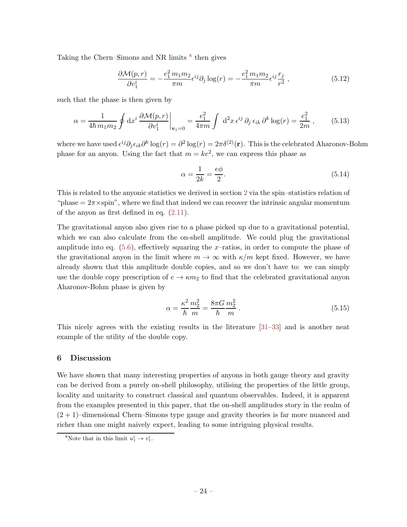Taking the Chern–Simons and NR limits  $8$  then gives

$$
\frac{\partial \mathcal{M}(p,r)}{\partial v_1^i} = -\frac{e_1^2 m_1 m_2}{\pi m} \epsilon^{ij} \partial_j \log(r) = -\frac{e_1^2 m_1 m_2}{\pi m} \epsilon^{ij} \frac{r_j}{r^2} ,\qquad (5.12)
$$

such that the phase is then given by

$$
\alpha = \frac{1}{4\hbar m_1 m_2} \oint \mathrm{d}x^i \left. \frac{\partial \mathcal{M}(p,r)}{\partial v_1^i} \right|_{\mathbf{v}_1 = 0} = \frac{e_1^2}{4\pi m} \int \mathrm{d}^2x \, \epsilon^{ij} \, \partial_j \, \epsilon_{ik} \, \partial^k \log(r) = \frac{e_1^2}{2m} \,,\tag{5.13}
$$

where we have used  $\epsilon^{ij}\partial_j \epsilon_{ik}\partial^k \log(r) = \partial^2 \log(r) = 2\pi \delta^{(2)}(\mathbf{r})$ . This is the celebrated Aharonov-Bohm phase for an anyon. Using the fact that  $m = ke^2$ , we can express this phase as

$$
\alpha = \frac{1}{2k} = \frac{e\phi}{2}.\tag{5.14}
$$

This is related to the anyonic statistics we derived in section [2](#page-3-0) via the spin–statistics relation of "phase  $= 2\pi \times$ spin", where we find that indeed we can recover the intrinsic angular momentum of the anyon as first defined in eq. [\(2.11\)](#page-5-2).

The gravitational anyon also gives rise to a phase picked up due to a gravitational potential, which we can also calculate from the on-shell amplitude. We could plug the gravitational amplitude into eq.  $(5.6)$ , effectively squaring the x-ratios, in order to compute the phase of the gravitational anyon in the limit where  $m \to \infty$  with  $\kappa/m$  kept fixed. However, we have already shown that this amplitude double copies, and so we don't have to: we can simply use the double copy prescription of  $e \to \kappa m_2$  to find that the celebrated gravitational anyon Aharonov-Bohm phase is given by

$$
\alpha = \frac{\kappa^2}{\hbar} \frac{m_2^2}{m} = \frac{8\pi G}{\hbar} \frac{m_2^2}{m} \,. \tag{5.15}
$$

<span id="page-24-0"></span>This nicely agrees with the existing results in the literature  $[31-33]$  and is another neat example of the utility of the double copy.

#### 6 Discussion

We have shown that many interesting properties of anyons in both gauge theory and gravity can be derived from a purely on-shell philosophy, utilising the properties of the little group, locality and unitarity to construct classical and quantum observables. Indeed, it is apparent from the examples presented in this paper, that the on-shell amplitudes story in the realm of  $(2 + 1)$ –dimensional Chern–Simons type gauge and gravity theories is far more nuanced and richer than one might naively expect, leading to some intriguing physical results.

<sup>&</sup>lt;sup>8</sup>Note that in this limit  $u_1^i \rightarrow v_1^i$ .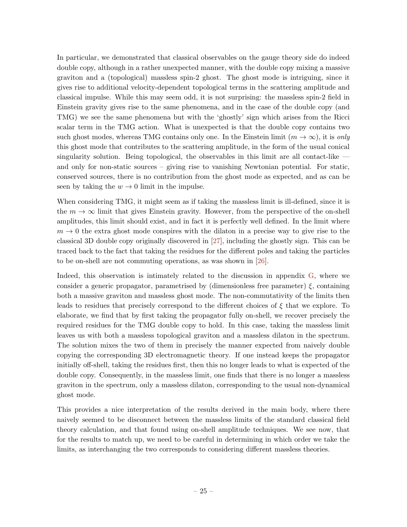In particular, we demonstrated that classical observables on the gauge theory side do indeed double copy, although in a rather unexpected manner, with the double copy mixing a massive graviton and a (topological) massless spin-2 ghost. The ghost mode is intriguing, since it gives rise to additional velocity-dependent topological terms in the scattering amplitude and classical impulse. While this may seem odd, it is not surprising: the massless spin-2 field in Einstein gravity gives rise to the same phenomena, and in the case of the double copy (and TMG) we see the same phenomena but with the 'ghostly' sign which arises from the Ricci scalar term in the TMG action. What is unexpected is that the double copy contains two such ghost modes, whereas TMG contains only one. In the Einstein limit  $(m \to \infty)$ , it is only this ghost mode that contributes to the scattering amplitude, in the form of the usual conical singularity solution. Being topological, the observables in this limit are all contact-like and only for non-static sources – giving rise to vanishing Newtonian potential. For static, conserved sources, there is no contribution from the ghost mode as expected, and as can be seen by taking the  $w \to 0$  limit in the impulse.

When considering TMG, it might seem as if taking the massless limit is ill-defined, since it is the  $m \to \infty$  limit that gives Einstein gravity. However, from the perspective of the on-shell amplitudes, this limit should exist, and in fact it is perfectly well defined. In the limit where  $m \to 0$  the extra ghost mode conspires with the dilaton in a precise way to give rise to the classical 3D double copy originally discovered in [\[27](#page-44-7)], including the ghostly sign. This can be traced back to the fact that taking the residues for the different poles and taking the particles to be on-shell are not commuting operations, as was shown in [\[26](#page-44-6)].

Indeed, this observation is intimately related to the discussion in appendix [G,](#page-41-0) where we consider a generic propagator, parametrised by (dimensionless free parameter)  $\xi$ , containing both a massive graviton and massless ghost mode. The non-commutativity of the limits then leads to residues that precisely correspond to the different choices of  $\xi$  that we explore. To elaborate, we find that by first taking the propagator fully on-shell, we recover precisely the required residues for the TMG double copy to hold. In this case, taking the massless limit leaves us with both a massless topological graviton and a massless dilaton in the spectrum. The solution mixes the two of them in precisely the manner expected from naively double copying the corresponding 3D electromagnetic theory. If one instead keeps the propagator initially off-shell, taking the residues first, then this no longer leads to what is expected of the double copy. Consequently, in the massless limit, one finds that there is no longer a massless graviton in the spectrum, only a massless dilaton, corresponding to the usual non-dynamical ghost mode.

This provides a nice interpretation of the results derived in the main body, where there naively seemed to be disconnect between the massless limits of the standard classical field theory calculation, and that found using on-shell amplitude techniques. We see now, that for the results to match up, we need to be careful in determining in which order we take the limits, as interchanging the two corresponds to considering different massless theories.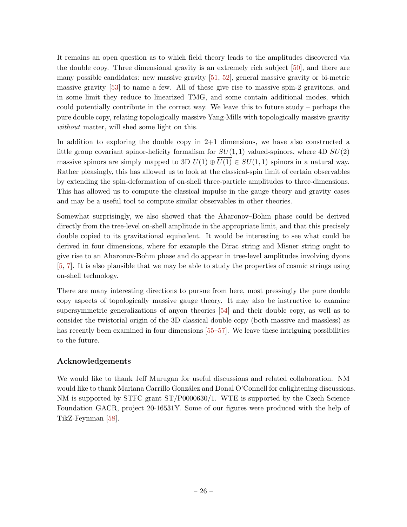It remains an open question as to which field theory leads to the amplitudes discovered via the double copy. Three dimensional gravity is an extremely rich subject [\[50\]](#page-46-1), and there are many possible candidates: new massive gravity  $[51, 52]$  $[51, 52]$  $[51, 52]$ , general massive gravity or bi-metric massive gravity [\[53](#page-46-4)] to name a few. All of these give rise to massive spin-2 gravitons, and in some limit they reduce to linearized TMG, and some contain additional modes, which could potentially contribute in the correct way. We leave this to future study – perhaps the pure double copy, relating topologically massive Yang-Mills with topologically massive gravity without matter, will shed some light on this.

In addition to exploring the double copy in  $2+1$  dimensions, we have also constructed a little group covariant spinor-helicity formalism for  $SU(1, 1)$  valued-spinors, where  $4D SU(2)$ massive spinors are simply mapped to 3D  $U(1) \oplus \overline{U(1)} \in SU(1, 1)$  spinors in a natural way. Rather pleasingly, this has allowed us to look at the classical-spin limit of certain observables by extending the spin-deformation of on-shell three-particle amplitudes to three-dimensions. This has allowed us to compute the classical impulse in the gauge theory and gravity cases and may be a useful tool to compute similar observables in other theories.

Somewhat surprisingly, we also showed that the Aharonov–Bohm phase could be derived directly from the tree-level on-shell amplitude in the appropriate limit, and that this precisely double copied to its gravitational equivalent. It would be interesting to see what could be derived in four dimensions, where for example the Dirac string and Misner string ought to give rise to an Aharonov-Bohm phase and do appear in tree-level amplitudes involving dyons [\[5](#page-43-4), [7](#page-43-5)]. It is also plausible that we may be able to study the properties of cosmic strings using on-shell technology.

There are many interesting directions to pursue from here, most pressingly the pure double copy aspects of topologically massive gauge theory. It may also be instructive to examine supersymmetric generalizations of anyon theories [\[54](#page-46-5)] and their double copy, as well as to consider the twistorial origin of the 3D classical double copy (both massive and massless) as has recently been examined in four dimensions [\[55](#page-46-6)[–57\]](#page-46-7). We leave these intriguing possibilities to the future.

# Acknowledgements

We would like to thank Jeff Murugan for useful discussions and related collaboration. NM would like to thank Mariana Carrillo González and Donal O'Connell for enlightening discussions. NM is supported by STFC grant ST/P0000630/1. WTE is supported by the Czech Science Foundation GACR, project 20-16531Y. Some of our figures were produced with the help of TikZ-Feynman [\[58\]](#page-46-8).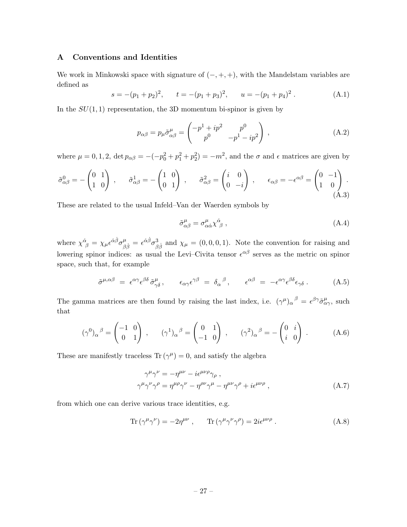# <span id="page-27-0"></span>A Conventions and Identities

We work in Minkowski space with signature of  $(-, +, +)$ , with the Mandelstam variables are defined as

$$
s = -(p_1 + p_2)^2, \t t = -(p_1 + p_3)^2, \t u = -(p_1 + p_4)^2.
$$
 (A.1)

In the  $SU(1,1)$  representation, the 3D momentum bi-spinor is given by

$$
p_{\alpha\beta} = p_{\mu}\tilde{\sigma}^{\mu}_{\alpha\beta} = \begin{pmatrix} -p^1 + ip^2 & p^0 \\ p^0 & -p^1 - ip^2 \end{pmatrix} , \qquad (A.2)
$$

where  $\mu = 0, 1, 2$ ,  $\det p_{\alpha\beta} = -(-p_0^2 + p_1^2 + p_2^2) = -m^2$ , and the  $\sigma$  and  $\epsilon$  matrices are given by

$$
\tilde{\sigma}^{0}_{\alpha\beta} = -\begin{pmatrix} 0 & 1 \\ 1 & 0 \end{pmatrix} , \quad \tilde{\sigma}^{1}_{\alpha\beta} = -\begin{pmatrix} 1 & 0 \\ 0 & 1 \end{pmatrix} , \quad \tilde{\sigma}^{2}_{\alpha\beta} = \begin{pmatrix} i & 0 \\ 0 & -i \end{pmatrix} , \quad \epsilon_{\alpha\beta} = -\epsilon^{\alpha\beta} = \begin{pmatrix} 0 & -1 \\ 1 & 0 \end{pmatrix} .
$$
\n(A.3)

These are related to the usual Infeld–Van der Waerden symbols by

$$
\tilde{\sigma}^{\mu}_{\alpha\beta} = \sigma^{\mu}_{\alpha\dot{\alpha}} \chi^{\dot{\alpha}}_{\ \beta} \ , \tag{A.4}
$$

where  $\chi^{\dot{\alpha}}_{\ \beta} = \chi_{\mu} \epsilon^{\dot{\alpha}\dot{\beta}} \sigma^{\mu}_{\beta\dot{\beta}} = \epsilon^{\dot{\alpha}\dot{\beta}} \sigma^3_{\beta\dot{\beta}}$  and  $\chi_{\mu} = (0, 0, 0, 1)$ . Note the convention for raising and lowering spinor indices: as usual the Levi–Civita tensor  $\epsilon^{\alpha\beta}$  serves as the metric on spinor space, such that, for example

$$
\tilde{\sigma}^{\mu,\alpha\beta} = \epsilon^{\alpha\gamma}\epsilon^{\beta\delta}\tilde{\sigma}^{\mu}_{\gamma\delta}, \qquad \epsilon_{\alpha\gamma}\epsilon^{\gamma\beta} = \delta_{\alpha}{}^{\beta}, \qquad \epsilon^{\alpha\beta} = -\epsilon^{\alpha\gamma}\epsilon^{\beta\delta}\epsilon_{\gamma\delta}.
$$
 (A.5)

The gamma matrices are then found by raising the last index, i.e.  $(\gamma^{\mu})_{\alpha}{}^{\beta} = \epsilon^{\beta\gamma}\tilde{\sigma}^{\mu}_{\alpha\gamma}$ , such that

$$
(\gamma^0)_{\alpha}{}^{\beta} = \begin{pmatrix} -1 & 0 \\ 0 & 1 \end{pmatrix} , \qquad (\gamma^1)_{\alpha}{}^{\beta} = \begin{pmatrix} 0 & 1 \\ -1 & 0 \end{pmatrix} , \qquad (\gamma^2)_{\alpha}{}^{\beta} = -\begin{pmatrix} 0 & i \\ i & 0 \end{pmatrix} .
$$
 (A.6)

These are manifestly traceless Tr  $(\gamma^{\mu}) = 0$ , and satisfy the algebra

$$
\gamma^{\mu}\gamma^{\nu} = -\eta^{\mu\nu} - i\epsilon^{\mu\nu\rho}\gamma_{\rho} ,
$$
  

$$
\gamma^{\mu}\gamma^{\nu}\gamma^{\rho} = \eta^{\mu\rho}\gamma^{\nu} - \eta^{\rho\nu}\gamma^{\mu} - \eta^{\mu\nu}\gamma^{\rho} + i\epsilon^{\mu\nu\rho} ,
$$
 (A.7)

from which one can derive various trace identities, e.g.

$$
\text{Tr}\left(\gamma^{\mu}\gamma^{\nu}\right) = -2\eta^{\mu\nu} , \qquad \text{Tr}\left(\gamma^{\mu}\gamma^{\nu}\gamma^{\rho}\right) = 2i\epsilon^{\mu\nu\rho} . \tag{A.8}
$$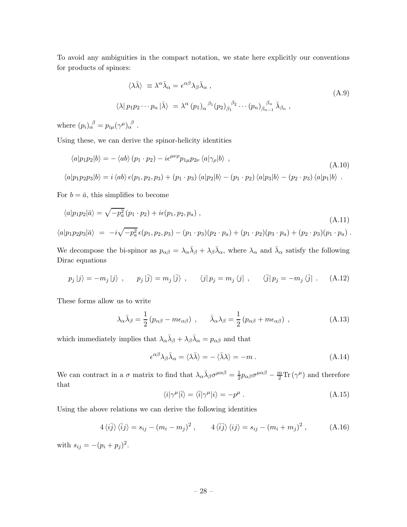To avoid any ambiguities in the compact notation, we state here explicitly our conventions for products of spinors:

$$
\langle \lambda \bar{\lambda} \rangle \equiv \lambda^{\alpha} \bar{\lambda}_{\alpha} = \epsilon^{\alpha \beta} \lambda_{\beta} \bar{\lambda}_{\alpha} ,
$$
  

$$
\langle \lambda | p_1 p_2 \cdots p_n | \bar{\lambda} \rangle = \lambda^{\alpha} (p_1)_{\alpha}^{\beta_1} (p_2)_{\beta_1}^{\beta_2} \cdots (p_n)_{\beta_{n-1}}^{\beta_n} \bar{\lambda}_{\beta_n} ,
$$
 (A.9)

where  $(p_i)_{\alpha}^{\ \beta} = p_{i\mu}(\gamma^{\mu})_{\alpha}^{\ \beta}$ .

Using these, we can derive the spinor-helicity identities

$$
\langle a|p_1p_2|b\rangle = -\langle ab\rangle (p_1 \cdot p_2) - i\epsilon^{\mu\nu\rho} p_{1\mu}p_{2\nu} \langle a|\gamma_\rho|b\rangle ,
$$
\n(A.10)  
\n
$$
\langle a|p_1p_2p_3|b\rangle = i \langle ab\rangle \epsilon(p_1, p_2, p_3) + (p_1 \cdot p_3) \langle a|p_2|b\rangle - (p_1 \cdot p_2) \langle a|p_3|b\rangle - (p_2 \cdot p_3) \langle a|p_1|b\rangle .
$$

For  $b = \bar{a}$ , this simplifies to become

$$
\langle a|p_1p_2|\bar{a}\rangle = \sqrt{-p_a^2}(p_1 \cdot p_2) + i\epsilon(p_1, p_2, p_a) ,
$$
  
\n
$$
\langle a|p_1p_2p_3|\bar{a}\rangle = -i\sqrt{-p_a^2}\epsilon(p_1, p_2, p_3) - (p_1 \cdot p_3)(p_2 \cdot p_a) + (p_1 \cdot p_2)(p_3 \cdot p_a) + (p_2 \cdot p_3)(p_1 \cdot p_a) .
$$
\n(A.11)

We decompose the bi-spinor as  $p_{\alpha\beta} = \lambda_{\alpha}\bar{\lambda}_{\beta} + \lambda_{\beta}\bar{\lambda}_{\alpha}$ , where  $\lambda_{\alpha}$  and  $\bar{\lambda}_{\alpha}$  satisfy the following Dirac equations

$$
p_j |j\rangle = -m_j |j\rangle , \qquad p_j |\bar{j}\rangle = m_j |\bar{j}\rangle , \qquad \langle j | p_j = m_j \langle j | , \qquad \langle \bar{j} | p_j = -m_j \langle \bar{j} | . \qquad (A.12)
$$

These forms allow us to write

<span id="page-28-0"></span>
$$
\lambda_{\alpha}\bar{\lambda}_{\beta} = \frac{1}{2} \left( p_{\alpha\beta} - m\epsilon_{\alpha\beta} \right) , \qquad \bar{\lambda}_{\alpha}\lambda_{\beta} = \frac{1}{2} \left( p_{\alpha\beta} + m\epsilon_{\alpha\beta} \right) , \qquad (A.13)
$$

which immediately implies that  $\lambda_{\alpha}\bar{\lambda}_{\beta} + \lambda_{\beta}\bar{\lambda}_{\alpha} = p_{\alpha\beta}$  and that

<span id="page-28-1"></span>
$$
\epsilon^{\alpha\beta}\lambda_{\beta}\bar{\lambda}_{\alpha} = \langle \lambda \bar{\lambda} \rangle = -\langle \bar{\lambda} \lambda \rangle = -m.
$$
 (A.14)

We can contract in a  $\sigma$  matrix to find that  $\lambda_{\alpha} \bar{\lambda}_{\beta} \sigma^{\mu \alpha \beta} = \frac{1}{2}$  $\frac{1}{2}p_{\alpha\beta}\sigma^{\mu\alpha\beta} - \frac{m}{2}\text{Tr}(\gamma^{\mu})$  and therefore that

$$
\langle i|\gamma^{\mu}|\bar{i}\rangle = \langle \bar{i}|\gamma^{\mu}|i\rangle = -p^{\mu} . \qquad (A.15)
$$

Using the above relations we can derive the following identities

$$
4\langle i\overline{j}\rangle\langle\overline{i}j\rangle = s_{ij} - (m_i - m_j)^2, \qquad 4\langle\overline{i}j\rangle\langle ij\rangle = s_{ij} - (m_i + m_j)^2, \qquad (A.16)
$$

with  $s_{ij} = -(p_i + p_j)^2$ .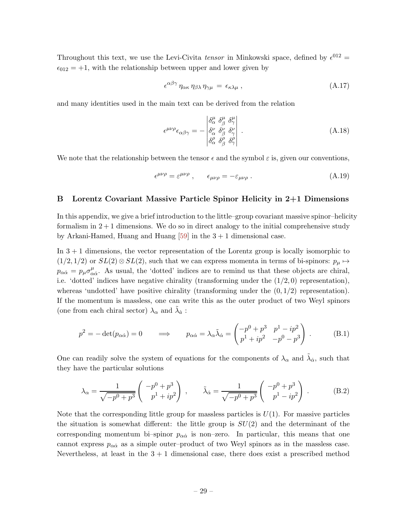Throughout this text, we use the Levi-Civita tensor in Minkowski space, defined by  $\epsilon^{012}$  =  $\epsilon_{012} = +1$ , with the relationship between upper and lower given by

$$
\epsilon^{\alpha\beta\gamma} \eta_{\alpha\kappa} \eta_{\beta\lambda} \eta_{\gamma\mu} = \epsilon_{\kappa\lambda\mu} , \qquad (A.17)
$$

and many identities used in the main text can be derived from the relation

$$
\epsilon^{\mu\nu\rho}\epsilon_{\alpha\beta\gamma} = -\begin{vmatrix}\n\delta^{\mu}_{\alpha} & \delta^{\mu}_{\beta} & \delta^{\mu}_{\gamma} \\
\delta^{\nu}_{\alpha} & \delta^{\nu}_{\beta} & \delta^{\nu}_{\gamma} \\
\delta^{\rho}_{\alpha} & \delta^{\rho}_{\beta} & \delta^{\rho}_{\gamma}\n\end{vmatrix} .
$$
\n(A.18)

We note that the relationship between the tensor  $\epsilon$  and the symbol  $\varepsilon$  is, given our conventions,

$$
\epsilon^{\mu\nu\rho} = \epsilon^{\mu\nu\rho} \;, \qquad \epsilon_{\mu\nu\rho} = -\epsilon_{\mu\nu\rho} \;.
$$
 (A.19)

## <span id="page-29-0"></span>B Lorentz Covariant Massive Particle Spinor Helicity in 2+1 Dimensions

In this appendix, we give a brief introduction to the little–group covariant massive spinor–helicity formalism in  $2+1$  dimensions. We do so in direct analogy to the initial comprehensive study by Arkani-Hamed, Huang and Huang  $[59]$  in the  $3 + 1$  dimensional case.

In 3 + 1 dimensions, the vector representation of the Lorentz group is locally isomorphic to  $(1/2, 1/2)$  or  $SL(2) \otimes SL(2)$ , such that we can express momenta in terms of bi-spinors:  $p_{\mu} \mapsto$  $p_{\alpha\dot{\alpha}} = p_{\mu}\sigma^{\mu}_{\alpha}$  $\alpha_{\alpha}^{\mu}$ . As usual, the 'dotted' indices are to remind us that these objects are chiral, i.e. 'dotted' indices have negative chirality (transforming under the  $(1/2, 0)$  representation), whereas 'undotted' have positive chirality (transforming under the  $(0, 1/2)$  representation). If the momentum is massless, one can write this as the outer product of two Weyl spinors (one from each chiral sector)  $\lambda_\alpha$  and  $\tilde\lambda_{\dot a}$  :

<span id="page-29-1"></span>
$$
p^2 = -\det(p_{\alpha\dot{\alpha}}) = 0 \qquad \Longrightarrow \qquad p_{\alpha\dot{\alpha}} = \lambda_{\alpha}\tilde{\lambda}_{\dot{\alpha}} = \begin{pmatrix} -p^0 + p^3 & p^1 - ip^2 \\ p^1 + ip^2 & -p^0 - p^3 \end{pmatrix} . \tag{B.1}
$$

One can readily solve the system of equations for the components of  $\lambda_{\alpha}$  and  $\tilde{\lambda}_{\dot{\alpha}}$ , such that they have the particular solutions

$$
\lambda_{\alpha} = \frac{1}{\sqrt{-p^0 + p^3}} \begin{pmatrix} -p^0 + p^3 \\ p^1 + ip^2 \end{pmatrix} , \qquad \tilde{\lambda}_{\dot{\alpha}} = \frac{1}{\sqrt{-p^0 + p^3}} \begin{pmatrix} -p^0 + p^3 \\ p^1 - ip^2 \end{pmatrix} .
$$
 (B.2)

Note that the corresponding little group for massless particles is  $U(1)$ . For massive particles the situation is somewhat different: the little group is  $SU(2)$  and the determinant of the corresponding momentum bi–spinor  $p_{\alpha\dot{\alpha}}$  is non–zero. In particular, this means that one cannot express  $p_{\alpha\dot{\alpha}}$  as a simple outer–product of two Weyl spinors as in the massless case. Nevertheless, at least in the  $3 + 1$  dimensional case, there does exist a prescribed method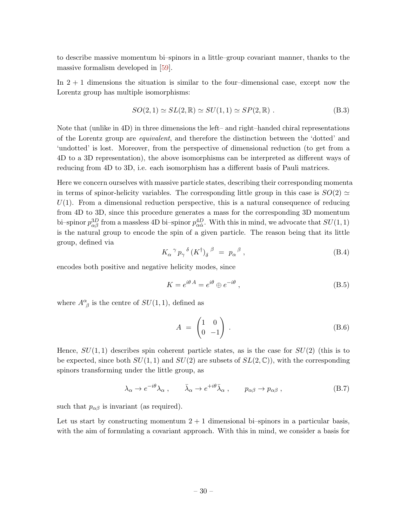to describe massive momentum bi–spinors in a little–group covariant manner, thanks to the massive formalism developed in [\[59\]](#page-46-9).

In  $2 + 1$  dimensions the situation is similar to the four-dimensional case, except now the Lorentz group has multiple isomorphisms:

$$
SO(2,1) \simeq SL(2,\mathbb{R}) \simeq SU(1,1) \simeq SP(2,\mathbb{R}). \tag{B.3}
$$

Note that (unlike in 4D) in three dimensions the left– and right–handed chiral representations of the Lorentz group are equivalent, and therefore the distinction between the 'dotted' and 'undotted' is lost. Moreover, from the perspective of dimensional reduction (to get from a 4D to a 3D representation), the above isomorphisms can be interpreted as different ways of reducing from 4D to 3D, i.e. each isomorphism has a different basis of Pauli matrices.

Here we concern ourselves with massive particle states, describing their corresponding momenta in terms of spinor-helicity variables. The corresponding little group in this case is  $SO(2) \simeq$  $U(1)$ . From a dimensional reduction perspective, this is a natural consequence of reducing from 4D to 3D, since this procedure generates a mass for the corresponding 3D momentum bi–spinor  $p_{\alpha\beta}^{3D}$  from a massless 4D bi–spinor  $p_{\alpha\dot{\alpha}}^{4D}$ . With this in mind, we advocate that  $SU(1,1)$ is the natural group to encode the spin of a given particle. The reason being that its little group, defined via

$$
K_{\alpha}^{\ \gamma} p_{\gamma}^{\ \delta} \left( K^{\dagger} \right)_{\delta}^{\ \beta} = p_{\alpha}^{\ \beta} \ , \tag{B.4}
$$

encodes both positive and negative helicity modes, since

$$
K = e^{i\theta A} = e^{i\theta} \oplus e^{-i\theta} , \qquad (B.5)
$$

where  $A^{\alpha}_{\ \beta}$  is the centre of  $SU(1,1)$ , defined as

<span id="page-30-0"></span>
$$
A = \begin{pmatrix} 1 & 0 \\ 0 & -1 \end{pmatrix} . \tag{B.6}
$$

Hence,  $SU(1,1)$  describes spin coherent particle states, as is the case for  $SU(2)$  (this is to be expected, since both  $SU(1, 1)$  and  $SU(2)$  are subsets of  $SL(2, \mathbb{C})$ , with the corresponding spinors transforming under the little group, as

$$
\lambda_{\alpha} \to e^{-i\theta} \lambda_{\alpha} , \qquad \bar{\lambda}_{\alpha} \to e^{+i\theta} \bar{\lambda}_{\alpha} , \qquad p_{\alpha\beta} \to p_{\alpha\beta} , \qquad (B.7)
$$

such that  $p_{\alpha\beta}$  is invariant (as required).

Let us start by constructing momentum  $2 + 1$  dimensional bi–spinors in a particular basis, with the aim of formulating a covariant approach. With this in mind, we consider a basis for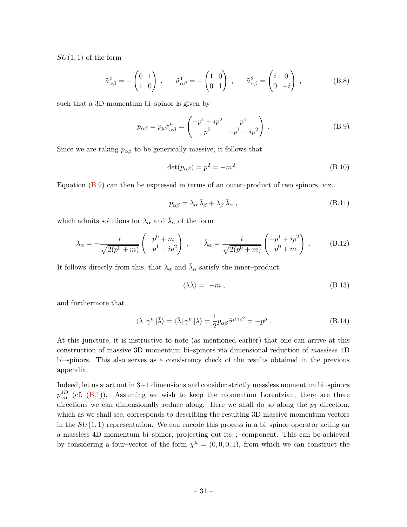$SU(1,1)$  of the form

$$
\tilde{\sigma}^0_{\alpha\beta} = -\begin{pmatrix} 0 & 1 \\ 1 & 0 \end{pmatrix} , \qquad \tilde{\sigma}^1_{\alpha\beta} = -\begin{pmatrix} 1 & 0 \\ 0 & 1 \end{pmatrix} , \qquad \tilde{\sigma}^2_{\alpha\beta} = \begin{pmatrix} i & 0 \\ 0 & -i \end{pmatrix} , \tag{B.8}
$$

such that a 3D momentum bi–spinor is given by

<span id="page-31-0"></span>
$$
p_{\alpha\beta} = p_{\mu}\tilde{\sigma}^{\mu}_{\alpha\beta} = \begin{pmatrix} -p^1 + ip^2 & p^0 \\ p^0 & -p^1 - ip^2 \end{pmatrix} .
$$
 (B.9)

Since we are taking  $p_{\alpha\beta}$  to be generically massive, it follows that

$$
\det(p_{\alpha\beta}) = p^2 = -m^2. \tag{B.10}
$$

Equation [\(B.9\)](#page-31-0) can then be expressed in terms of an outer–product of two spinors, viz.

$$
p_{\alpha\beta} = \lambda_{\alpha} \,\bar{\lambda}_{\beta} + \lambda_{\beta} \,\bar{\lambda}_{\alpha} \,, \tag{B.11}
$$

which admits solutions for  $\lambda_{\alpha}$  and  $\bar{\lambda}_{\alpha}$  of the form

$$
\lambda_{\alpha} = -\frac{i}{\sqrt{2(p^0 + m)}} \begin{pmatrix} p^0 + m \\ -p^1 - ip^2 \end{pmatrix} , \qquad \bar{\lambda}_{\alpha} = \frac{i}{\sqrt{2(p^0 + m)}} \begin{pmatrix} -p^1 + ip^2 \\ p^0 + m \end{pmatrix} .
$$
 (B.12)

It follows directly from this, that  $\lambda_{\alpha}$  and  $\bar{\lambda}_{\alpha}$  satisfy the inner-product

$$
\langle \lambda \bar{\lambda} \rangle = -m \,, \tag{B.13}
$$

and furthermore that

$$
\langle \lambda | \gamma^{\mu} | \bar{\lambda} \rangle = \langle \bar{\lambda} | \gamma^{\mu} | \lambda \rangle = \frac{1}{2} p_{\alpha\beta} \tilde{\sigma}^{\mu, \alpha\beta} = -p^{\mu} . \tag{B.14}
$$

At this juncture, it is instructive to note (as mentioned earlier) that one can arrive at this construction of massive 3D momentum bi–spinors via dimensional reduction of massless 4D bi–spinors. This also serves as a consistency check of the results obtained in the previous appendix.

Indeed, let us start out in 3+1 dimensions and consider strictly massless momentum bi–spinors  $p_{\alpha\dot{\alpha}}^{4D}$  (cf. [\(B.1\)](#page-29-1)). Assuming we wish to keep the momentum Lorentzian, there are three directions we can dimensionally reduce along. Here we shall do so along the  $p_3$  direction, which as we shall see, corresponds to describing the resulting 3D massive momentum vectors in the  $SU(1,1)$  representation. We can encode this process in a bi–spinor operator acting on a massless 4D momentum bi–spinor, projecting out its  $z$ –component. This can be achieved by considering a four-vector of the form  $\chi^{\mu} = (0, 0, 0, 1)$ , from which we can construct the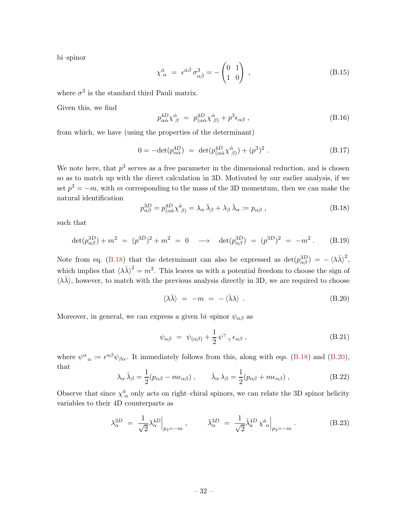bi–spinor

$$
\chi^{\dot{\alpha}}_{\alpha} = \epsilon^{\dot{\alpha}\dot{\beta}} \sigma^3_{\alpha\dot{\beta}} = -\begin{pmatrix} 0 & 1 \\ 1 & 0 \end{pmatrix} , \qquad (B.15)
$$

where  $\sigma^3$  is the standard third Pauli matrix.

Given this, we find

$$
p_{\alpha\dot{\alpha}}^{4D} \chi^{\dot{\alpha}}_{\ \beta} = p_{(\alpha\dot{\alpha}}^{4D} \chi^{\dot{\alpha}}_{\ \beta)} + p^3 \epsilon_{\alpha\beta} \,, \tag{B.16}
$$

from which, we have (using the properties of the determinant)

$$
0 = -\det(p_{\alpha\dot{\alpha}}^{4D}) = \det(p_{(\alpha\dot{\alpha}}^{4D} \chi_{\beta)}^{\dot{\alpha}}) + (p^3)^2.
$$
 (B.17)

We note here, that  $p^3$  serves as a free parameter in the dimensional reduction, and is chosen so as to match up with the direct calculation in 3D. Motivated by our earlier analysis, if we set  $p^3 = -m$ , with m corresponding to the mass of the 3D momentum, then we can make the natural identification

<span id="page-32-0"></span>
$$
p_{\alpha\beta}^{3D} = p_{(\alpha\dot{\alpha}}^{4D} \chi^{\dot{\alpha}}{}_{\beta)} = \lambda_{\alpha} \bar{\lambda}_{\beta} + \lambda_{\beta} \bar{\lambda}_{\alpha} := p_{\alpha\beta} , \qquad (B.18)
$$

such that

$$
\det(p_{\alpha\beta}^{3D}) + m^2 = (p^{3D})^2 + m^2 = 0 \longrightarrow \det(p_{\alpha\beta}^{3D}) = (p^{3D})^2 = -m^2. \quad (B.19)
$$

Note from eq. [\(B.18\)](#page-32-0) that the determinant can also be expressed as  $\det(p_{\alpha\beta}^{3D}) = -\langle\lambda\bar{\lambda}\rangle^2$ , which implies that  $\langle \lambda \overline{\lambda} \rangle^2 = m^2$ . This leaves us with a potential freedom to choose the sign of  $\langle \lambda \overline{\lambda} \rangle$ , however, to match with the previous analysis directly in 3D, we are required to choose

<span id="page-32-1"></span>
$$
\langle \lambda \bar{\lambda} \rangle = -m = -\langle \bar{\lambda} \lambda \rangle . \tag{B.20}
$$

Moreover, in general, we can express a given bi–spinor  $\psi_{\alpha\beta}$  as

$$
\psi_{\alpha\beta} = \psi_{(\alpha\beta)} + \frac{1}{2} \psi^{\gamma}{}_{\gamma} \epsilon_{\alpha\beta} , \qquad (B.21)
$$

where  $\psi^{\alpha}{}_{\alpha} \coloneqq \epsilon^{\alpha\beta}\psi_{\beta\alpha}$ . It immediately follows from this, along with eqs. [\(B.18\)](#page-32-0) and [\(B.20\)](#page-32-1), that

$$
\lambda_{\alpha} \bar{\lambda}_{\beta} = \frac{1}{2} (p_{\alpha\beta} - m\epsilon_{\alpha\beta}) , \qquad \bar{\lambda}_{\alpha} \lambda_{\beta} = \frac{1}{2} (p_{\alpha\beta} + m\epsilon_{\alpha\beta}) , \qquad (B.22)
$$

Observe that since  $\chi^{\dot{a}}_{\alpha}$  only acts on right–chiral spinors, we can relate the 3D spinor helicity variables to their 4D counterparts as

$$
\lambda_{\alpha}^{3D} = \left. \frac{1}{\sqrt{2}} \lambda_{\alpha}^{4D} \right|_{p_3 = -m}, \qquad \bar{\lambda}_{\alpha}^{3D} = \left. \frac{1}{\sqrt{2}} \tilde{\lambda}_{\dot{a}}^{4D} \chi_{\alpha}^{\dot{a}} \right|_{p_3 = -m}.
$$
\n(B.23)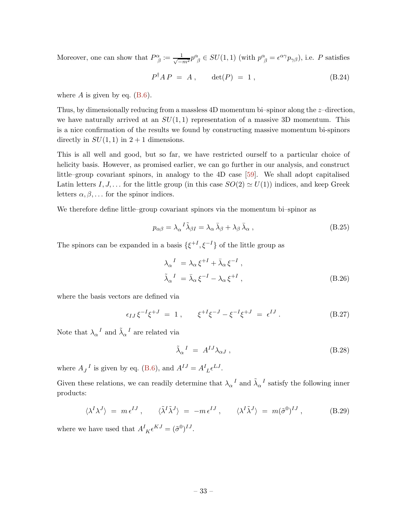Moreover, one can show that  $P^{\alpha}_{\beta} := \frac{1}{\sqrt{-m^2}} p^{\alpha}_{\beta} \in SU(1, 1)$  (with  $p^{\alpha}_{\beta} = \epsilon^{\alpha \gamma} p_{\gamma \beta}$ ), i.e. P satisfies

$$
P^{\dagger}AP = A, \quad \det(P) = 1, \tag{B.24}
$$

where  $A$  is given by eq. [\(B.6\)](#page-30-0).

Thus, by dimensionally reducing from a massless 4D momentum bi–spinor along the z–direction, we have naturally arrived at an  $SU(1,1)$  representation of a massive 3D momentum. This is a nice confirmation of the results we found by constructing massive momentum bi-spinors directly in  $SU(1,1)$  in  $2+1$  dimensions.

This is all well and good, but so far, we have restricted ourself to a particular choice of helicity basis. However, as promised earlier, we can go further in our analysis, and construct little–group covariant spinors, in analogy to the 4D case [\[59](#page-46-9)]. We shall adopt capitalised Latin letters I, J,... for the little group (in this case  $SO(2) \simeq U(1)$ ) indices, and keep Greek letters  $\alpha, \beta, \ldots$  for the spinor indices.

We therefore define little–group covariant spinors via the momentum bi–spinor as

$$
p_{\alpha\beta} = \lambda_{\alpha}{}^{I} \tilde{\lambda}_{\beta I} = \lambda_{\alpha} \bar{\lambda}_{\beta} + \lambda_{\beta} \bar{\lambda}_{\alpha} , \qquad (B.25)
$$

The spinors can be expanded in a basis  $\{\xi^{+I}, \xi^{-I}\}$  of the little group as

$$
\lambda_{\alpha}{}^{I} = \lambda_{\alpha} \xi^{+I} + \bar{\lambda}_{\alpha} \xi^{-I} ,
$$
  
\n
$$
\tilde{\lambda}_{\alpha}{}^{I} = \bar{\lambda}_{\alpha} \xi^{-I} - \lambda_{\alpha} \xi^{+I} ,
$$
\n(B.26)

where the basis vectors are defined via

$$
\epsilon_{IJ}\,\xi^{-I}\xi^{+J} = 1\,, \qquad \xi^{+I}\xi^{-J} - \xi^{-I}\xi^{+J} = \epsilon^{IJ}\,.
$$
 (B.27)

Note that  $\lambda_{\alpha}{}^{I}$  and  $\tilde{\lambda}_{\alpha}{}^{I}$  are related via

$$
\tilde{\lambda}_{\alpha}{}^{I} = A^{IJ} \lambda_{\alpha J} , \qquad (B.28)
$$

where  $A_J^I$  is given by eq. [\(B.6\)](#page-30-0), and  $A^{IJ} = A^I_{\ L} \epsilon^{LJ}$ .

Given these relations, we can readily determine that  $\lambda_{\alpha}{}^{I}$  and  $\tilde{\lambda}_{\alpha}{}^{I}$  satisfy the following inner products:

$$
\langle \lambda^I \lambda^J \rangle = m \epsilon^{IJ} , \qquad \langle \tilde{\lambda}^I \tilde{\lambda}^J \rangle = -m \epsilon^{IJ} , \qquad \langle \lambda^I \tilde{\lambda}^J \rangle = m (\tilde{\sigma}^0)^{IJ} , \qquad (B.29)
$$

where we have used that  $A^{I}_{K} \epsilon^{KJ} = (\tilde{\sigma}^{0})^{IJ}$ .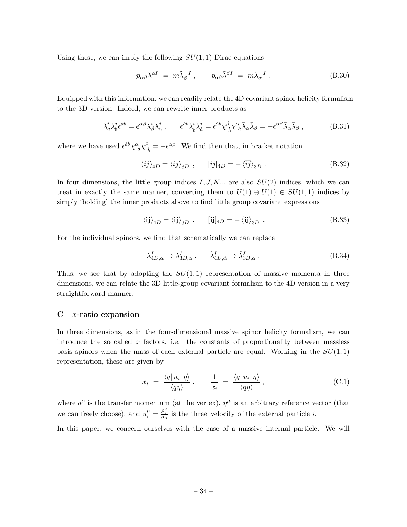Using these, we can imply the following  $SU(1, 1)$  Dirac equations

$$
p_{\alpha\beta}\lambda^{\alpha I} = m\tilde{\lambda}_{\beta}{}^{I}, \qquad p_{\alpha\beta}\tilde{\lambda}^{\beta I} = m\lambda_{\alpha}{}^{I}. \qquad (B.30)
$$

Equipped with this information, we can readily relate the 4D covariant spinor helicity formalism to the 3D version. Indeed, we can rewrite inner products as

$$
\lambda_a^i \lambda_b^j \epsilon^{ab} = \epsilon^{\alpha \beta} \lambda_\beta^i \lambda_\alpha^j , \qquad \epsilon^{ab} \tilde{\lambda}_b^i \tilde{\lambda}_a^j = \epsilon^{ab} \chi^\beta_{\ \ j} \chi^\alpha_{\ \ a} \bar{\lambda}_\alpha \bar{\lambda}_\beta = -\epsilon^{\alpha \beta} \bar{\lambda}_\alpha \bar{\lambda}_\beta \ , \tag{B.31}
$$

where we have used  $\epsilon^{\dot{a}\dot{b}} \chi^{\alpha}_{\dot{a}} \chi^{\beta}_{\dot{b}}$  $\delta_{\dot{b}} = -\epsilon^{\alpha\beta}$ . We find then that, in bra-ket notation

$$
\langle ij \rangle_{4D} = \langle ij \rangle_{3D} , \qquad [ij]_{4D} = -\langle \overline{i}\overline{j} \rangle_{3D} . \tag{B.32}
$$

In four dimensions, the little group indices  $I, J, K...$  are also  $SU(2)$  indices, which we can treat in exactly the same manner, converting them to  $U(1) \oplus \overline{U(1)} \in SU(1,1)$  indices by simply 'bolding' the inner products above to find little group covariant expressions

$$
\langle \mathbf{ij} \rangle_{4D} = \langle \mathbf{ij} \rangle_{3D} , \qquad [\mathbf{ij}]_{4D} = -\langle \mathbf{ij} \rangle_{3D} . \tag{B.33}
$$

For the individual spinors, we find that schematically we can replace

$$
\lambda_{4D,\alpha}^{I} \to \lambda_{3D,\alpha}^{I}, \qquad \tilde{\lambda}_{4D,\dot{\alpha}}^{I} \to \tilde{\lambda}_{3D,\alpha}^{I}.
$$
 (B.34)

Thus, we see that by adopting the  $SU(1,1)$  representation of massive momenta in three dimensions, we can relate the 3D little-group covariant formalism to the 4D version in a very straightforward manner.

# <span id="page-34-0"></span> $C$  *x*-ratio expansion

In three dimensions, as in the four-dimensional massive spinor helicity formalism, we can introduce the so–called x–factors, i.e. the constants of proportionality between massless basis spinors when the mass of each external particle are equal. Working in the  $SU(1,1)$ representation, these are given by

$$
x_i = \frac{\langle q | u_i | \eta \rangle}{\langle \bar{q} \eta \rangle} , \qquad \frac{1}{x_i} = \frac{\langle \bar{q} | u_i | \bar{\eta} \rangle}{\langle q \bar{\eta} \rangle} , \tag{C.1}
$$

where  $q^{\mu}$  is the transfer momentum (at the vertex),  $\eta^{\mu}$  is an arbitrary reference vector (that we can freely choose), and  $u_i^{\mu} = \frac{p_i^{\mu}}{m_i}$  is the three–velocity of the external particle *i*.

In this paper, we concern ourselves with the case of a massive internal particle. We will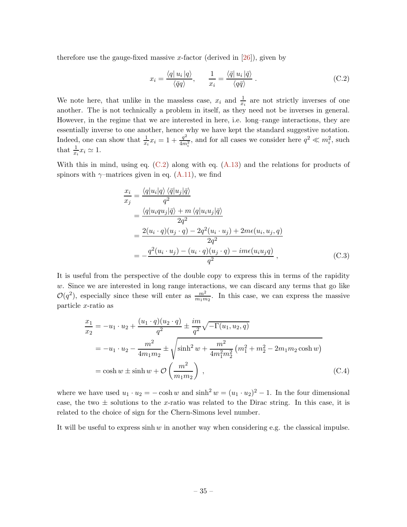therefore use the gauge-fixed massive x-factor (derived in [\[26\]](#page-44-6)), given by

<span id="page-35-0"></span>
$$
x_i = \frac{\langle q | u_i | q \rangle}{\langle \bar{q} q \rangle}, \qquad \frac{1}{x_i} = \frac{\langle \bar{q} | u_i | \bar{q} \rangle}{\langle q \bar{q} \rangle}.
$$
 (C.2)

We note here, that unlike in the massless case,  $x_i$  and  $\frac{1}{x_i}$  are not strictly inverses of one another. The is not technically a problem in itself, as they need not be inverses in general. However, in the regime that we are interested in here, i.e. long–range interactions, they are essentially inverse to one another, hence why we have kept the standard suggestive notation. Indeed, one can show that  $\frac{1}{x_i}x_i = 1 + \frac{q^2}{4m}$  $\frac{q^2}{4m_i^2}$ , and for all cases we consider here  $q^2 \ll m_i^2$ , such that  $\frac{1}{x_i}x_i \simeq 1$ .

With this in mind, using eq.  $(C.2)$  along with eq.  $(A.13)$  and the relations for products of spinors with  $\gamma$ –matrices given in eq. [\(A.11\)](#page-28-1), we find

$$
\frac{x_i}{x_j} = \frac{\langle q | u_i | q \rangle \langle \bar{q} | u_j | \bar{q} \rangle}{q^2}
$$
\n
$$
= \frac{\langle q | u_i q u_j | \bar{q} \rangle + m \langle q | u_i u_j | \bar{q} \rangle}{2q^2}
$$
\n
$$
= \frac{2(u_i \cdot q)(u_j \cdot q) - 2q^2(u_i \cdot u_j) + 2m\epsilon(u_i, u_j, q)}{2q^2}
$$
\n
$$
= -\frac{q^2(u_i \cdot u_j) - (u_i \cdot q)(u_j \cdot q) - im\epsilon(u_i u_j q)}{q^2}, \qquad (C.3)
$$

It is useful from the perspective of the double copy to express this in terms of the rapidity  $w$ . Since we are interested in long range interactions, we can discard any terms that go like  $\mathcal{O}(q^2)$ , especially since these will enter as  $\frac{m^2}{m_1m_2}$ . In this case, we can express the massive particle x-ratio as

$$
\frac{x_1}{x_2} = -u_1 \cdot u_2 + \frac{(u_1 \cdot q)(u_2 \cdot q)}{q^2} \pm \frac{im}{q^2} \sqrt{-\Gamma(u_1, u_2, q)}
$$
  
=  $-u_1 \cdot u_2 - \frac{m^2}{4m_1m_2} \pm \sqrt{\sinh^2 w + \frac{m^2}{4m_1^2m_2^2} (m_1^2 + m_2^2 - 2m_1m_2 \cosh w)}$   
=  $\cosh w \pm \sinh w + \mathcal{O}\left(\frac{m^2}{m_1m_2}\right)$ , (C.4)

where we have used  $u_1 \cdot u_2 = -\cosh w$  and  $\sinh^2 w = (u_1 \cdot u_2)^2 - 1$ . In the four dimensional case, the two  $\pm$  solutions to the x-ratio was related to the Dirac string. In this case, it is related to the choice of sign for the Chern-Simons level number.

It will be useful to express  $\sinh w$  in another way when considering e.g. the classical impulse.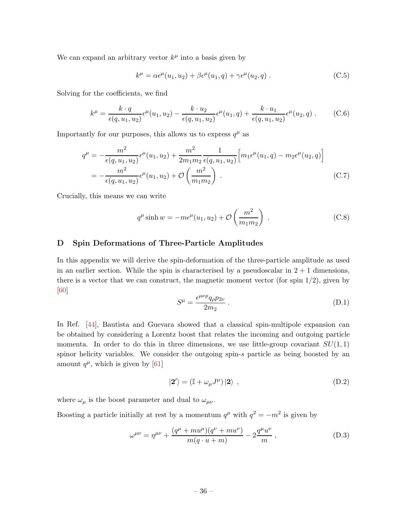We can expand an arbitrary vector  $k^{\mu}$  into a basis given by

$$
k^{\mu} = \alpha \epsilon^{\mu}(u_1, u_2) + \beta \epsilon^{\mu}(u_1, q) + \gamma \epsilon^{\mu}(u_2, q) . \tag{C.5}
$$

Solving for the coefficients, we find

$$
k^{\mu} = \frac{k \cdot q}{\epsilon(q, u_1, u_2)} \epsilon^{\mu}(u_1, u_2) - \frac{k \cdot u_2}{\epsilon(q, u_1, u_2)} \epsilon^{\mu}(u_1, q) + \frac{k \cdot u_1}{\epsilon(q, u_1, u_2)} \epsilon^{\mu}(u_2, q) . \tag{C.6}
$$

Importantly for our purposes, this allows us to express  $q^{\mu}$  as

$$
q^{\mu} = -\frac{m^2}{\epsilon(q, u_1, u_2)} \epsilon^{\mu}(u_1, u_2) + \frac{m^2}{2m_1 m_2} \frac{1}{\epsilon(q, u_1, u_2)} \Big[ m_1 \epsilon^{\mu}(u_1, q) - m_2 \epsilon^{\mu}(u_2, q) \Big]
$$
  
= 
$$
-\frac{m^2}{\epsilon(q, u_1, u_2)} \epsilon^{\mu}(u_1, u_2) + \mathcal{O}\left(\frac{m^2}{m_1 m_2}\right) . \tag{C.7}
$$

Crucially, this means we can write

$$
q^{\mu}\sinh w = -m\epsilon^{\mu}(u_1, u_2) + \mathcal{O}\left(\frac{m^2}{m_1 m_2}\right). \tag{C.8}
$$

# <span id="page-36-0"></span>D Spin Deformations of Three-Particle Amplitudes

In this appendix we will derive the spin-deformation of the three-particle amplitude as used in an earlier section. While the spin is characterised by a pseudoscalar in  $2 + 1$  dimensions, there is a vector that we can construct, the magnetic moment vector (for spin  $1/2$ ), given by [\[60](#page-46-10)]

$$
S^{\mu} = \frac{\epsilon^{\mu\nu\rho} q_{\rho} p_{2\nu}}{2m_2} \,. \tag{D.1}
$$

In Ref. [\[44\]](#page-45-16), Bautista and Guevara showed that a classical spin-multipole expansion can be obtained by considering a Lorentz boost that relates the incoming and outgoing particle momenta. In order to do this in three dimensions, we use little-group covariant  $SU(1,1)$ spinor helicity variables. We consider the outgoing spin-s particle as being boosted by an amount  $q^{\mu}$ , which is given by [\[61\]](#page-46-11)

$$
|\mathbf{2'}\rangle = (\mathbb{I} + \omega_{\mu}J^{\mu})\,|\mathbf{2}\rangle \tag{D.2}
$$

where  $\omega_{\mu}$  is the boost parameter and dual to  $\omega_{\mu\nu}$ .

Boosting a particle initially at rest by a momentum  $q^{\mu}$  with  $q^2 = -m^2$  is given by

$$
\omega^{\mu\nu} = \eta^{\mu\nu} + \frac{(q^{\mu} + m u^{\mu})(q^{\nu} + m u^{\nu})}{m(q \cdot u + m)} - 2\frac{q^{\mu} u^{\nu}}{m}, \qquad (D.3)
$$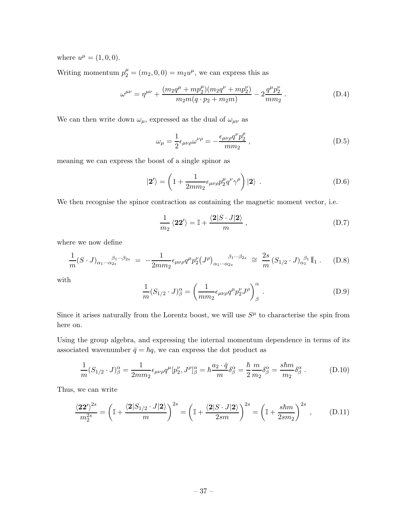where  $u^{\mu} = (1, 0, 0)$ .

Writing momentum  $p_2^{\mu} = (m_2, 0, 0) = m_2 u^{\mu}$ , we can express this as

$$
\omega^{\mu\nu} = \eta^{\mu\nu} + \frac{(m_2 q^{\mu} + m p_2^{\mu})(m_2 q^{\nu} + m p_2^{\nu})}{m_2 m (q \cdot p_2 + m_2 m)} - 2 \frac{q^{\mu} p_2^{\nu}}{m m_2}.
$$
 (D.4)

We can then write down  $\omega_{\mu}$ , expressed as the dual of  $\omega_{\mu\nu}$  as

$$
\omega_{\mu} = \frac{1}{2} \epsilon_{\mu\nu\rho} \omega^{\nu\rho} = -\frac{\epsilon_{\mu\nu\rho} q^{\nu} p_2^{\rho}}{m m_2} , \qquad (D.5)
$$

meaning we can express the boost of a single spinor as

$$
|\mathbf{2'}\rangle = \left(1 + \frac{1}{2m m_2} \epsilon_{\mu\nu\rho} p_2^{\mu} q^{\nu} \gamma^{\rho}\right) |\mathbf{2}\rangle . \tag{D.6}
$$

We then recognise the spinor contraction as containing the magnetic moment vector, i.e.

$$
\frac{1}{m_2} \langle 22' \rangle = \mathbb{I} + \frac{\langle 2|S \cdot J|2 \rangle}{m} , \qquad (D.7)
$$

where we now define

$$
\frac{1}{m}(S \cdot J)_{\alpha_1 \cdots \alpha_{2s}}^{\beta_1 \cdots \beta_{2s}} = -\frac{1}{2m m_2} \epsilon_{\mu \nu \rho} q^{\mu} p_2^{\nu} (J^{\rho})_{\alpha_1 \cdots \alpha_{2s}}^{\beta_1 \cdots \beta_{2s}} \cong \frac{2s}{m} (S_{1/2} \cdot J)_{\alpha_1}^{\beta_1} \bar{\mathbb{I}}_1 .
$$
 (D.8)

with

$$
\frac{1}{m}(S_{1/2} \cdot J)_{\beta}^{\alpha} = \left(\frac{1}{m m_2} \epsilon_{\mu\nu\rho} q^{\mu} p_2^{\nu} J^{\rho}\right)_{\beta}^{\alpha} . \tag{D.9}
$$

Since it arises naturally from the Lorentz boost, we will use  $S<sup>\mu</sup>$  to characterise the spin from here on.

Using the group algebra, and expressing the internal momentum dependence in terms of its associated wavenumber  $\bar{q} = \hbar q,$  we can express the dot product as

$$
\frac{1}{m}(S_{1/2}\cdot J)_{\beta}^{\alpha} = \frac{1}{2mm_2}\epsilon_{\mu\nu\rho}q^{\mu}[p_2^{\nu}, J^{\rho}]_{\beta}^{\alpha} = \hbar\frac{a_2\cdot\bar{q}}{m}\delta_{\beta}^{\alpha} = \frac{\hbar}{2}\frac{m}{m_2}\delta_{\beta}^{\alpha} = \frac{s\hbar m}{m_2}\delta_{\beta}^{\alpha}.
$$
 (D.10)

Thus, we can write

$$
\frac{\langle 22'\rangle^{2s}}{m_2^{2s}} = \left(\mathbb{I} + \frac{\langle 2|S_{1/2} \cdot J|2\rangle}{m}\right)^{2s} = \left(\mathbb{I} + \frac{\langle 2|S \cdot J|2\rangle}{2sm}\right)^{2s} = \left(\mathbb{I} + \frac{s\hbar m}{2sm_2}\right)^{2s},\tag{D.11}
$$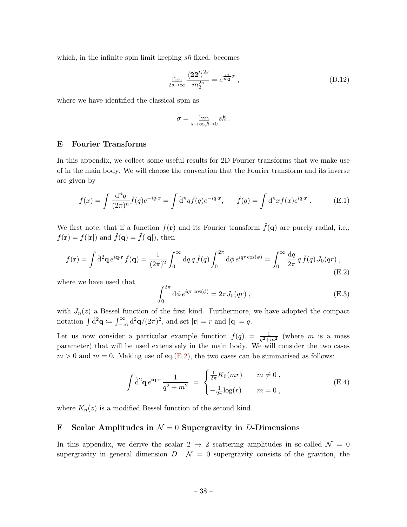which, in the infinite spin limit keeping  $s\hbar$  fixed, becomes

$$
\lim_{2s \to \infty} \frac{\langle 22' \rangle^{2s}}{m_2^{2s}} = e^{\frac{m}{m_2} \sigma} , \qquad (D.12)
$$

where we have identified the classical spin as

$$
\sigma = \lim_{s \to \infty, \hbar \to 0} s\hbar .
$$

# <span id="page-38-0"></span>E Fourier Transforms

In this appendix, we collect some useful results for 2D Fourier transforms that we make use of in the main body. We will choose the convention that the Fourier transform and its inverse are given by

$$
f(x) = \int \frac{d^n q}{(2\pi)^n} \tilde{f}(q) e^{-iq \cdot x} = \int \hat{d}^n q \tilde{f}(q) e^{-iq \cdot x}, \qquad \tilde{f}(q) = \int d^n x f(x) e^{iq \cdot x} . \tag{E.1}
$$

We first note, that if a function  $f(\mathbf{r})$  and its Fourier transform  $\tilde{f}(\mathbf{q})$  are purely radial, i.e.,  $f(\mathbf{r}) = f(|\mathbf{r}|)$  and  $\tilde{f}(\mathbf{q}) = \tilde{f}(|\mathbf{q}|)$ , then

<span id="page-38-2"></span>
$$
f(\mathbf{r}) = \int \hat{\mathrm{d}}^2 \mathbf{q} e^{i\mathbf{q} \cdot \mathbf{r}} \tilde{f}(\mathbf{q}) = \frac{1}{(2\pi)^2} \int_0^\infty \mathrm{d}q \, q \, \tilde{f}(q) \int_0^{2\pi} \mathrm{d}\phi \, e^{iqr \cos(\phi)} = \int_0^\infty \frac{\mathrm{d}q}{2\pi} \, q \, \tilde{f}(q) \, J_0(qr) , \tag{E.2}
$$

where we have used that

$$
\int_0^{2\pi} d\phi \, e^{iqr\cos(\phi)} = 2\pi J_0(qr) , \qquad (E.3)
$$

with  $J_n(z)$  a Bessel function of the first kind. Furthermore, we have adopted the compact notation  $\int \hat{d}^2 \mathbf{q} := \int_{-\infty}^{\infty} d^2 \mathbf{q} / (2\pi)^2$ , and set  $|\mathbf{r}| = r$  and  $|\mathbf{q}| = q$ .

Let us now consider a particular example function  $\tilde{f}(q) = \frac{1}{q^2 + m^2}$  (where m is a mass parameter) that will be used extensively in the main body. We will consider the two cases  $m > 0$  and  $m = 0$ . Making use of eq.[\(E.2\)](#page-38-2), the two cases can be summarised as follows:

$$
\int \hat{\mathrm{d}}^2 \mathbf{q} \, e^{i\mathbf{q} \cdot \mathbf{r}} \frac{1}{q^2 + m^2} = \begin{cases} \frac{1}{2\pi} K_0(mr) & m \neq 0, \\ -\frac{1}{2\pi} \log(r) & m = 0, \end{cases}
$$
 (E.4)

<span id="page-38-1"></span>where  $K_n(z)$  is a modified Bessel function of the second kind.

# F Scalar Amplitudes in  $\mathcal{N} = 0$  Supergravity in D-Dimensions

In this appendix, we derive the scalar  $2 \rightarrow 2$  scattering amplitudes in so-called  $\mathcal{N} = 0$ supergravity in general dimension D.  $\mathcal{N} = 0$  supergravity consists of the graviton, the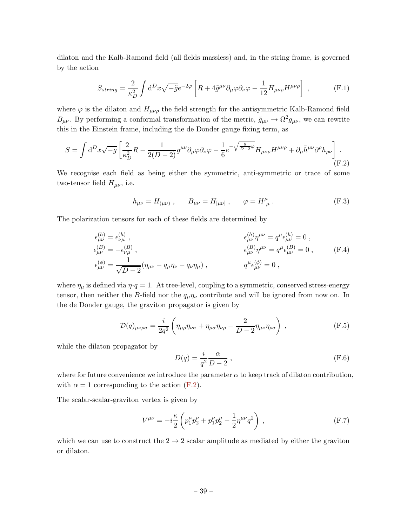dilaton and the Kalb-Ramond field (all fields massless) and, in the string frame, is governed by the action

$$
S_{string} = \frac{2}{\kappa_D^2} \int d^D x \sqrt{-\tilde{g}} e^{-2\varphi} \left[ R + 4\tilde{g}^{\mu\nu} \partial_\mu \varphi \partial_\nu \varphi - \frac{1}{12} H_{\mu\nu\rho} H^{\mu\nu\rho} \right] , \qquad (F.1)
$$

where  $\varphi$  is the dilaton and  $H_{\mu\nu\rho}$  the field strength for the antisymmetric Kalb-Ramond field  $B_{\mu\nu}$ . By performing a conformal transformation of the metric,  $\tilde{g}_{\mu\nu} \to \Omega^2 g_{\mu\nu}$ , we can rewrite this in the Einstein frame, including the de Donder gauge fixing term, as

<span id="page-39-0"></span>
$$
S = \int \mathrm{d}^D x \sqrt{-g} \left[ \frac{2}{\kappa_D^2} R - \frac{1}{2(D-2)} g^{\mu\nu} \partial_\mu \varphi \partial_\nu \varphi - \frac{1}{6} e^{-\sqrt{\frac{8}{D-2} \varphi}} H_{\mu\nu\rho} H^{\mu\nu\rho} + \partial_\mu \bar{h}^{\mu\nu} \partial^\rho h_{\rho\nu} \right]. \tag{F.2}
$$

We recognise each field as being either the symmetric, anti-symmetric or trace of some two-tensor field  $H_{\mu\nu}$ , i.e.

$$
h_{\mu\nu} = H_{(\mu\nu)} , \qquad B_{\mu\nu} = H_{[\mu\nu]} , \qquad \varphi = H^{\mu}_{\ \mu} . \tag{F.3}
$$

The polarization tensors for each of these fields are determined by

$$
\epsilon_{\mu\nu}^{(h)} = \epsilon_{\nu\mu}^{(h)},
$$
\n
$$
\epsilon_{\mu\nu}^{(B)} = -\epsilon_{\nu\mu}^{(B)},
$$
\n
$$
\epsilon_{\mu\nu}^{(B)} = -\epsilon_{\nu\mu}^{(B)},
$$
\n
$$
\epsilon_{\mu\nu}^{(B)} = \frac{1}{\sqrt{D-2}} (\eta_{\mu\nu} - q_{\mu}\eta_{\nu} - q_{\nu}\eta_{\mu}),
$$
\n
$$
\epsilon_{\mu\nu}^{(b)} = \frac{1}{\sqrt{D-2}} (\eta_{\mu\nu} - q_{\mu}\eta_{\nu} - q_{\nu}\eta_{\mu}),
$$
\n
$$
\epsilon_{\mu\nu}^{(b)} = 0,
$$
\n
$$
\epsilon_{\mu\nu}^{(b)} = 0,
$$
\n
$$
(F.4)
$$

where  $\eta_{\mu}$  is defined via  $\eta \cdot q = 1$ . At tree-level, coupling to a symmetric, conserved stress-energy tensor, then neither the B-field nor the  $q_{\mu} \eta_{\nu}$  contribute and will be ignored from now on. In the de Donder gauge, the graviton propagator is given by

$$
\mathcal{D}(q)_{\mu\nu\rho\sigma} = \frac{i}{2q^2} \left( \eta_{\mu\rho} \eta_{\nu\sigma} + \eta_{\mu\sigma} \eta_{\nu\rho} - \frac{2}{D-2} \eta_{\mu\nu} \eta_{\rho\sigma} \right) , \qquad (F.5)
$$

while the dilaton propagator by

$$
D(q) = \frac{i}{q^2} \frac{\alpha}{D - 2} \,,\tag{F.6}
$$

where for future convenience we introduce the parameter  $\alpha$  to keep track of dilaton contribution, with  $\alpha = 1$  corresponding to the action [\(F.2\)](#page-39-0).

The scalar-scalar-graviton vertex is given by

$$
V^{\mu\nu} = -i\frac{\kappa}{2} \left( p_1^{\mu} p_2^{\nu} + p_1^{\nu} p_2^{\mu} - \frac{1}{2} \eta^{\mu\nu} q^2 \right) , \qquad (F.7)
$$

which we can use to construct the  $2 \rightarrow 2$  scalar amplitude as mediated by either the graviton or dilaton.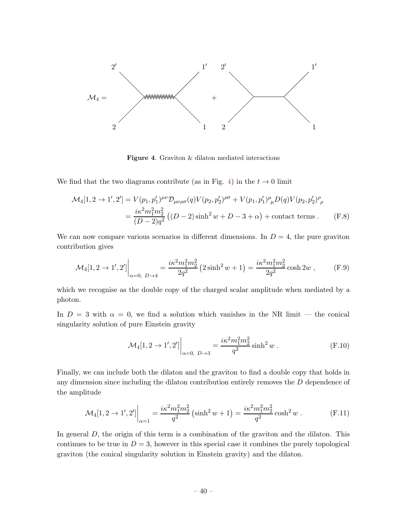

<span id="page-40-0"></span>Figure 4. Graviton & dilaton mediated interactions

We find that the two diagrams contribute (as in Fig. [4\)](#page-40-0) in the  $t \to 0$  limit

$$
\mathcal{M}_4[1, 2 \to 1', 2'] = V(p_1, p_1')^{\mu\nu} \mathcal{D}_{\mu\nu\rho\sigma}(q) V(p_2, p_2')^{\rho\sigma} + V(p_1, p_1')^{\mu}{}_{\mu} D(q) V(p_2, p_2')^{\rho}{}_{\rho}
$$
  
= 
$$
\frac{i\kappa^2 m_1^2 m_2^2}{(D-2)q^2} ((D-2) \sinh^2 w + D - 3 + \alpha) + \text{contact terms}. \tag{F.8}
$$

We can now compare various scenarios in different dimensions. In  $D = 4$ , the pure graviton contribution gives

$$
\mathcal{M}_4[1, 2 \to 1', 2']\bigg|_{\alpha=0, D \to 4} = \frac{i\kappa^2 m_1^2 m_2^2}{2q^2} \left(2\sinh^2 w + 1\right) = \frac{i\kappa^2 m_1^2 m_2^2}{2q^2} \cosh 2w \,,\tag{F.9}
$$

which we recognise as the double copy of the charged scalar amplitude when mediated by a photon.

In  $D = 3$  with  $\alpha = 0$ , we find a solution which vanishes in the NR limit — the conical singularity solution of pure Einstein gravity

<span id="page-40-1"></span>
$$
\mathcal{M}_4[1, 2 \to 1', 2']\bigg|_{\alpha=0, D \to 3} = \frac{i\kappa^2 m_1^2 m_2^2}{q^2} \sinh^2 w \,. \tag{F.10}
$$

Finally, we can include both the dilaton and the graviton to find a double copy that holds in any dimension since including the dilaton contribution entirely removes the D dependence of the amplitude

$$
\mathcal{M}_4[1, 2 \to 1', 2']\bigg|_{\alpha=1} = \frac{i\kappa^2 m_1^2 m_2^2}{q^2} \left(\sinh^2 w + 1\right) = \frac{i\kappa^2 m_1^2 m_2^2}{q^2} \cosh^2 w \,. \tag{F.11}
$$

In general D, the origin of this term is a combination of the graviton and the dilaton. This continues to be true in  $D = 3$ , however in this special case it combines the purely topological graviton (the conical singularity solution in Einstein gravity) and the dilaton.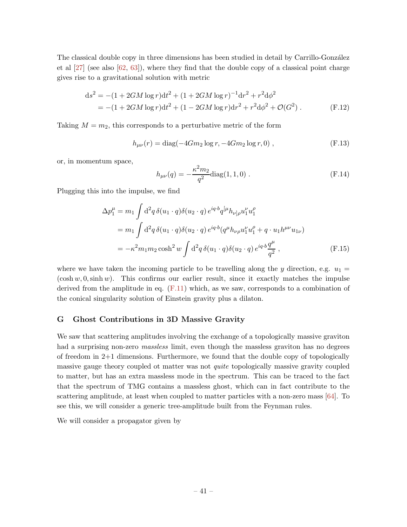The classical double copy in three dimensions has been studied in detail by Carrillo-González et al  $[27]$  (see also  $[62, 63]$  $[62, 63]$  $[62, 63]$ ), where they find that the double copy of a classical point charge gives rise to a gravitational solution with metric

$$
ds^{2} = -(1 + 2GM \log r)dt^{2} + (1 + 2GM \log r)^{-1}dr^{2} + r^{2}d\phi^{2}
$$
  
= -(1 + 2GM \log r)dt^{2} + (1 - 2GM \log r)dr^{2} + r^{2}d\phi^{2} + \mathcal{O}(G^{2}). \t(F.12)

Taking  $M = m_2$ , this corresponds to a perturbative metric of the form

$$
h_{\mu\nu}(r) = \text{diag}(-4Gm_2 \log r, -4Gm_2 \log r, 0) ,\qquad (F.13)
$$

or, in momentum space,

$$
h_{\mu\nu}(q) = -\frac{\kappa^2 m_2}{q^2} \text{diag}(1, 1, 0) \tag{F.14}
$$

Plugging this into the impulse, we find

$$
\Delta p_1^{\mu} = m_1 \int d^2 q \, \delta(u_1 \cdot q) \delta(u_2 \cdot q) e^{iq \cdot b} q^{[\mu} h_{\nu] \rho} u_1^{\nu} u_1^{\rho}
$$
  
=  $m_1 \int d^2 q \, \delta(u_1 \cdot q) \delta(u_2 \cdot q) e^{iq \cdot b} (q^{\mu} h_{\nu \rho} u_1^{\nu} u_1^{\rho} + q \cdot u_1 h^{\mu \nu} u_{1\nu})$   
=  $-\kappa^2 m_1 m_2 \cosh^2 w \int d^2 q \, \delta(u_1 \cdot q) \delta(u_2 \cdot q) e^{iq \cdot b} \frac{q^{\mu}}{q^2},$  (F.15)

where we have taken the incoming particle to be travelling along the y direction, e.g.  $u_1 =$  $(\cosh w, 0, \sinh w)$ . This confirms our earlier result, since it exactly matches the impulse derived from the amplitude in eq.  $(F.11)$  which, as we saw, corresponds to a combination of the conical singularity solution of Einstein gravity plus a dilaton.

# <span id="page-41-0"></span>G Ghost Contributions in 3D Massive Gravity

We saw that scattering amplitudes involving the exchange of a topologically massive graviton had a surprising non-zero *massless* limit, even though the massless graviton has no degrees of freedom in  $2+1$  dimensions. Furthermore, we found that the double copy of topologically massive gauge theory coupled ot matter was not quite topologically massive gravity coupled to matter, but has an extra massless mode in the spectrum. This can be traced to the fact that the spectrum of TMG contains a massless ghost, which can in fact contribute to the scattering amplitude, at least when coupled to matter particles with a non-zero mass  $[64]$ . To see this, we will consider a generic tree-amplitude built from the Feynman rules.

We will consider a propagator given by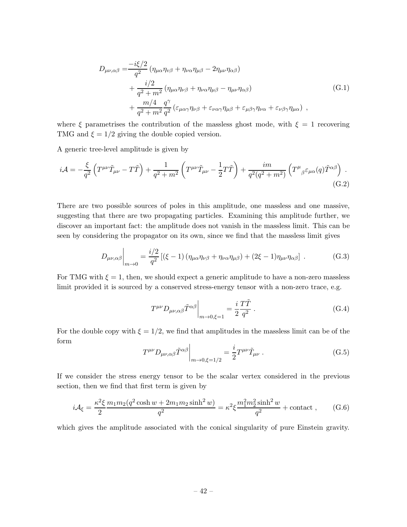$$
D_{\mu\nu,\alpha\beta} = \frac{-i\xi/2}{q^2} \left( \eta_{\mu\alpha}\eta_{\nu\beta} + \eta_{\nu\alpha}\eta_{\mu\beta} - 2\eta_{\mu\nu}\eta_{\alpha\beta} \right)
$$
  
+ 
$$
\frac{i/2}{q^2 + m^2} \left( \eta_{\mu\alpha}\eta_{\nu\beta} + \eta_{\nu\alpha}\eta_{\mu\beta} - \eta_{\mu\nu}\eta_{\alpha\beta} \right)
$$
  
+ 
$$
\frac{m/4}{q^2 + m^2} \frac{q^{\gamma}}{q^2} \left( \varepsilon_{\mu\alpha\gamma}\eta_{\nu\beta} + \varepsilon_{\nu\alpha\gamma}\eta_{\mu\beta} + \varepsilon_{\mu\beta\gamma}\eta_{\nu\alpha} + \varepsilon_{\nu\beta\gamma}\eta_{\mu\alpha} \right) ,
$$
 (G.1)

where  $\xi$  parametrises the contribution of the massless ghost mode, with  $\xi = 1$  recovering TMG and  $\xi = 1/2$  giving the double copied version.

A generic tree-level amplitude is given by

$$
i\mathcal{A} = -\frac{\xi}{q^2} \left( T^{\mu\nu} \tilde{T}_{\mu\nu} - T\tilde{T} \right) + \frac{1}{q^2 + m^2} \left( T^{\mu\nu} \tilde{T}_{\mu\nu} - \frac{1}{2} T \tilde{T} \right) + \frac{im}{q^2 (q^2 + m^2)} \left( T^{\mu}{}_{\beta} \varepsilon_{\mu\alpha}(q) \tilde{T}^{\alpha\beta} \right) . \tag{G.2}
$$

There are two possible sources of poles in this amplitude, one massless and one massive, suggesting that there are two propagating particles. Examining this amplitude further, we discover an important fact: the amplitude does not vanish in the massless limit. This can be seen by considering the propagator on its own, since we find that the massless limit gives

$$
D_{\mu\nu,\alpha\beta}\Big|_{m\to 0} = \frac{i/2}{q^2} \left[ (\xi - 1) \left( \eta_{\mu\alpha} \eta_{\nu\beta} + \eta_{\nu\alpha} \eta_{\mu\beta} \right) + (2\xi - 1) \eta_{\mu\nu} \eta_{\alpha\beta} \right] \,. \tag{G.3}
$$

For TMG with  $\xi = 1$ , then, we should expect a generic amplitude to have a non-zero massless limit provided it is sourced by a conserved stress-energy tensor with a non-zero trace, e.g.

$$
T^{\mu\nu} D_{\mu\nu,\alpha\beta} \tilde{T}^{\alpha\beta} \Big|_{m \to 0,\xi=1} = \frac{i}{2} \frac{T\tilde{T}}{q^2} . \tag{G.4}
$$

For the double copy with  $\xi = 1/2$ , we find that amplitudes in the massless limit can be of the form

$$
T^{\mu\nu}D_{\mu\nu,\alpha\beta}\tilde{T}^{\alpha\beta}\Big|_{m\to 0,\xi=1/2} = \frac{i}{2}T^{\mu\nu}\tilde{T}_{\mu\nu} \ . \tag{G.5}
$$

If we consider the stress energy tensor to be the scalar vertex considered in the previous section, then we find that first term is given by

$$
i\mathcal{A}_{\xi} = \frac{\kappa^2 \xi}{2} \frac{m_1 m_2 (q^2 \cosh w + 2m_1 m_2 \sinh^2 w)}{q^2} = \kappa^2 \xi \frac{m_1^2 m_2^2 \sinh^2 w}{q^2} + \text{contact} ,\qquad (G.6)
$$

which gives the amplitude associated with the conical singularity of pure Einstein gravity.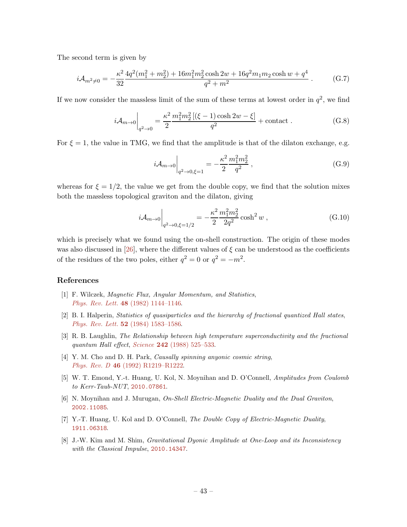The second term is given by

$$
i\mathcal{A}_{m^2\neq 0} = -\frac{\kappa^2}{32} \frac{4q^2(m_1^2 + m_2^2) + 16m_1^2m_2^2\cosh 2w + 16q^2m_1m_2\cosh w + q^4}{q^2 + m^2} \,. \tag{G.7}
$$

If we now consider the massless limit of the sum of these terms at lowest order in  $q^2$ , we find

$$
i\mathcal{A}_{m\to 0}\Big|_{q^2\to 0} = \frac{\kappa^2}{2} \frac{m_1^2 m_2^2 \left[ (\xi - 1) \cosh 2w - \xi \right]}{q^2} + \text{contact} \,. \tag{G.8}
$$

For  $\xi = 1$ , the value in TMG, we find that the amplitude is that of the dilaton exchange, e.g.

$$
i\mathcal{A}_{m\to 0}\Big|_{q^2\to 0,\xi=1} = -\frac{\kappa^2}{2} \frac{m_1^2 m_2^2}{q^2} ,\qquad (G.9)
$$

whereas for  $\xi = 1/2$ , the value we get from the double copy, we find that the solution mixes both the massless topological graviton and the dilaton, giving

$$
i\mathcal{A}_{m\to 0}\Big|_{q^2\to 0,\xi=1/2} = -\frac{\kappa^2}{2} \frac{m_1^2 m_2^2}{2q^2} \cosh^2 w \,,\tag{G.10}
$$

which is precisely what we found using the on-shell construction. The origin of these modes was also discussed in [\[26](#page-44-6)], where the different values of  $\xi$  can be understood as the coefficients of the residues of the two poles, either  $q^2 = 0$  or  $q^2 = -m^2$ .

#### References

- <span id="page-43-0"></span>[1] F. Wilczek, Magnetic Flux, Angular Momentum, and Statistics, Phys. Rev. Lett. 48 [\(1982\) 1144–1146.](http://dx.doi.org/10.1103/PhysRevLett.48.1144)
- <span id="page-43-1"></span>[2] B. I. Halperin, Statistics of quasiparticles and the hierarchy of fractional quantized Hall states, Phys. Rev. Lett. 52 [\(1984\) 1583–1586.](http://dx.doi.org/10.1103/PhysRevLett.52.1583)
- <span id="page-43-2"></span>[3] R. B. Laughlin, The Relationship between high temperature superconductivity and the fractional quantum Hall effect, Science 242 [\(1988\) 525–533.](http://dx.doi.org/10.1126/science.242.4878.525)
- <span id="page-43-3"></span>[4] Y. M. Cho and D. H. Park, Causally spinning anyonic cosmic string, Phys. Rev. D 46 [\(1992\) R1219–R1222.](http://dx.doi.org/10.1103/PhysRevD.46.R1219)
- <span id="page-43-4"></span>[5] W. T. Emond, Y.-t. Huang, U. Kol, N. Moynihan and D. O'Connell, Amplitudes from Coulomb to Kerr-Taub-NUT, [2010.07861](http://arxiv.org/abs/2010.07861).
- <span id="page-43-6"></span>[6] N. Moynihan and J. Murugan, On-Shell Electric-Magnetic Duality and the Dual Graviton, [2002.11085](http://arxiv.org/abs/2002.11085).
- <span id="page-43-5"></span>[7] Y.-T. Huang, U. Kol and D. O'Connell, The Double Copy of Electric-Magnetic Duality, [1911.06318](http://arxiv.org/abs/1911.06318).
- [8] J.-W. Kim and M. Shim, Gravitational Dyonic Amplitude at One-Loop and its Inconsistency with the Classical Impulse, [2010.14347](http://arxiv.org/abs/2010.14347).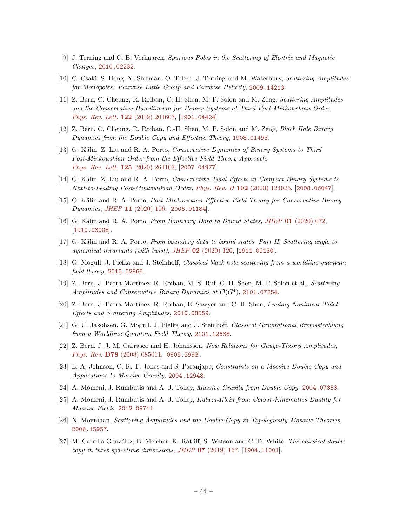- <span id="page-44-8"></span>[9] J. Terning and C. B. Verhaaren, Spurious Poles in the Scattering of Electric and Magnetic Charges, [2010.02232](http://arxiv.org/abs/2010.02232).
- <span id="page-44-0"></span>[10] C. Csaki, S. Hong, Y. Shirman, O. Telem, J. Terning and M. Waterbury, Scattering Amplitudes for Monopoles: Pairwise Little Group and Pairwise Helicity, [2009.14213](http://arxiv.org/abs/2009.14213).
- <span id="page-44-1"></span>[11] Z. Bern, C. Cheung, R. Roiban, C.-H. Shen, M. P. Solon and M. Zeng, Scattering Amplitudes and the Conservative Hamiltonian for Binary Systems at Third Post-Minkowskian Order, [Phys. Rev. Lett.](http://dx.doi.org/10.1103/PhysRevLett.122.201603) 122 (2019) 201603, [[1901.04424](http://arxiv.org/abs/1901.04424)].
- [12] Z. Bern, C. Cheung, R. Roiban, C.-H. Shen, M. P. Solon and M. Zeng, Black Hole Binary Dynamics from the Double Copy and Effective Theory, [1908.01493](http://arxiv.org/abs/1908.01493).
- [13] G. Kälin, Z. Liu and R. A. Porto, Conservative Dynamics of Binary Systems to Third Post-Minkowskian Order from the Effective Field Theory Approach, [Phys. Rev. Lett.](http://dx.doi.org/10.1103/PhysRevLett.125.261103) 125 (2020) 261103, [[2007.04977](http://arxiv.org/abs/2007.04977)].
- [14] G. Kälin, Z. Liu and R. A. Porto, Conservative Tidal Effects in Compact Binary Systems to Next-to-Leading Post-Minkowskian Order, Phys. Rev. D 102 [\(2020\) 124025,](http://dx.doi.org/10.1103/PhysRevD.102.124025) [[2008.06047](http://arxiv.org/abs/2008.06047)].
- [15] G. Kälin and R. A. Porto, Post-Minkowskian Effective Field Theory for Conservative Binary Dynamics, JHEP 11 [\(2020\) 106,](http://dx.doi.org/10.1007/JHEP11(2020)106) [[2006.01184](http://arxiv.org/abs/2006.01184)].
- [16] G. Kälin and R. A. Porto, From Boundary Data to Bound States, JHEP  $01$  [\(2020\) 072,](http://dx.doi.org/10.1007/JHEP01(2020)072) [[1910.03008](http://arxiv.org/abs/1910.03008)].
- [17] G. Kälin and R. A. Porto, From boundary data to bound states. Part II. Scattering angle to dynamical invariants (with twist), JHEP  $02$  [\(2020\) 120,](http://dx.doi.org/10.1007/JHEP02(2020)120) [[1911.09130](http://arxiv.org/abs/1911.09130)].
- [18] G. Mogull, J. Plefka and J. Steinhoff, Classical black hole scattering from a worldline quantum field theory, [2010.02865](http://arxiv.org/abs/2010.02865).
- [19] Z. Bern, J. Parra-Martinez, R. Roiban, M. S. Ruf, C.-H. Shen, M. P. Solon et al., Scattering Amplitudes and Conservative Binary Dynamics at  $\mathcal{O}(G^4)$ , [2101.07254](http://arxiv.org/abs/2101.07254).
- [20] Z. Bern, J. Parra-Martinez, R. Roiban, E. Sawyer and C.-H. Shen, Leading Nonlinear Tidal Effects and Scattering Amplitudes, [2010.08559](http://arxiv.org/abs/2010.08559).
- <span id="page-44-2"></span>[21] G. U. Jakobsen, G. Mogull, J. Plefka and J. Steinhoff, Classical Gravitational Bremsstrahlung from a Worldline Quantum Field Theory, [2101.12688](http://arxiv.org/abs/2101.12688).
- <span id="page-44-3"></span>[22] Z. Bern, J. J. M. Carrasco and H. Johansson, New Relations for Gauge-Theory Amplitudes, Phys. Rev. D78 [\(2008\) 085011,](http://dx.doi.org/10.1103/PhysRevD.78.085011) [[0805.3993](http://arxiv.org/abs/0805.3993)].
- <span id="page-44-4"></span>[23] L. A. Johnson, C. R. T. Jones and S. Paranjape, Constraints on a Massive Double-Copy and Applications to Massive Gravity, [2004.12948](http://arxiv.org/abs/2004.12948).
- [24] A. Momeni, J. Rumbutis and A. J. Tolley, Massive Gravity from Double Copy, [2004.07853](http://arxiv.org/abs/2004.07853).
- <span id="page-44-5"></span>[25] A. Momeni, J. Rumbutis and A. J. Tolley, Kaluza-Klein from Colour-Kinematics Duality for Massive Fields, [2012.09711](http://arxiv.org/abs/2012.09711).
- <span id="page-44-6"></span>[26] N. Moynihan, Scattering Amplitudes and the Double Copy in Topologically Massive Theories, [2006.15957](http://arxiv.org/abs/2006.15957).
- <span id="page-44-7"></span>[27] M. Carrillo González, B. Melcher, K. Ratliff, S. Watson and C. D. White, The classical double copy in three spacetime dimensions, JHEP  $07$  [\(2019\) 167,](http://dx.doi.org/10.1007/JHEP07(2019)167) [[1904.11001](http://arxiv.org/abs/1904.11001)].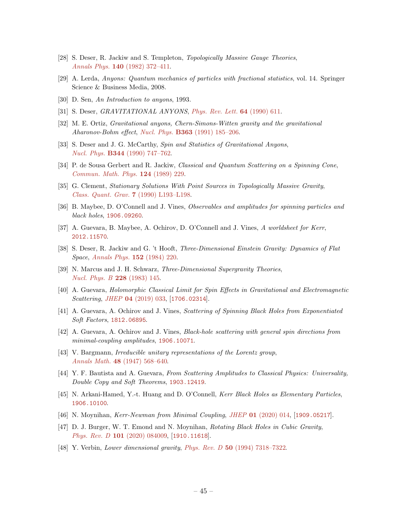- <span id="page-45-0"></span>[28] S. Deser, R. Jackiw and S. Templeton, Topologically Massive Gauge Theories, Annals Phys. 140 [\(1982\) 372–411.](http://dx.doi.org/10.1016/0003-4916(82)90164-6)
- <span id="page-45-1"></span>[29] A. Lerda, Anyons: Quantum mechanics of particles with fractional statistics, vol. 14. Springer Science & Business Media, 2008.
- <span id="page-45-2"></span>[30] D. Sen, An Introduction to anyons, 1993.
- <span id="page-45-3"></span>[31] S. Deser, *GRAVITATIONAL ANYONS*, *[Phys. Rev. Lett.](http://dx.doi.org/10.1103/PhysRevLett.64.611)* **64** (1990) 611.
- <span id="page-45-4"></span>[32] M. E. Ortiz, Gravitational anyons, Chern-Simons-Witten gravity and the gravitational Aharonov-Bohm effect, Nucl. Phys. B363 [\(1991\) 185–206.](http://dx.doi.org/10.1016/0550-3213(91)90240-X)
- <span id="page-45-5"></span>[33] S. Deser and J. G. McCarthy, Spin and Statistics of Gravitational Anyons, Nucl. Phys. B344 [\(1990\) 747–762.](http://dx.doi.org/10.1016/0550-3213(90)90677-6)
- <span id="page-45-6"></span>[34] P. de Sousa Gerbert and R. Jackiw, *Classical and Quantum Scattering on a Spinning Cone*, [Commun. Math. Phys.](http://dx.doi.org/10.1007/BF01219196) 124 (1989) 229.
- <span id="page-45-7"></span>[35] G. Clement, Stationary Solutions With Point Sources in Topologically Massive Gravity, [Class. Quant. Grav.](http://dx.doi.org/10.1088/0264-9381/7/9/002) 7 (1990) L193–L198.
- <span id="page-45-8"></span>[36] B. Maybee, D. O'Connell and J. Vines, Observables and amplitudes for spinning particles and black holes, [1906.09260](http://arxiv.org/abs/1906.09260).
- <span id="page-45-9"></span>[37] A. Guevara, B. Maybee, A. Ochirov, D. O'Connell and J. Vines, A worldsheet for Kerr, [2012.11570](http://arxiv.org/abs/2012.11570).
- <span id="page-45-10"></span>[38] S. Deser, R. Jackiw and G. 't Hooft, Three-Dimensional Einstein Gravity: Dynamics of Flat Space, [Annals Phys.](http://dx.doi.org/10.1016/0003-4916(84)90085-X) 152 (1984) 220.
- <span id="page-45-11"></span>[39] N. Marcus and J. H. Schwarz, Three-Dimensional Supergravity Theories, [Nucl. Phys. B](http://dx.doi.org/10.1016/0550-3213(83)90402-9) 228 (1983) 145.
- <span id="page-45-12"></span>[40] A. Guevara, Holomorphic Classical Limit for Spin Effects in Gravitational and Electromagnetic Scattering, JHEP 04 [\(2019\) 033,](http://dx.doi.org/10.1007/JHEP04(2019)033) [[1706.02314](http://arxiv.org/abs/1706.02314)].
- <span id="page-45-15"></span>[41] A. Guevara, A. Ochirov and J. Vines, Scattering of Spinning Black Holes from Exponentiated Soft Factors, [1812.06895](http://arxiv.org/abs/1812.06895).
- <span id="page-45-13"></span>[42] A. Guevara, A. Ochirov and J. Vines, Black-hole scattering with general spin directions from minimal-coupling amplitudes, [1906.10071](http://arxiv.org/abs/1906.10071).
- <span id="page-45-14"></span>[43] V. Bargmann, Irreducible unitary representations of the Lorentz group, Annals Math. 48 [\(1947\) 568–640.](http://dx.doi.org/10.2307/1969129)
- <span id="page-45-16"></span>[44] Y. F. Bautista and A. Guevara, From Scattering Amplitudes to Classical Physics: Universality, Double Copy and Soft Theorems, [1903.12419](http://arxiv.org/abs/1903.12419).
- [45] N. Arkani-Hamed, Y.-t. Huang and D. O'Connell, Kerr Black Holes as Elementary Particles, [1906.10100](http://arxiv.org/abs/1906.10100).
- [46] N. Moynihan, Kerr-Newman from Minimal Coupling, JHEP 01 [\(2020\) 014,](http://dx.doi.org/10.1007/JHEP01(2020)014) [[1909.05217](http://arxiv.org/abs/1909.05217)].
- <span id="page-45-17"></span>[47] D. J. Burger, W. T. Emond and N. Moynihan, Rotating Black Holes in Cubic Gravity, Phys. Rev. D 101 [\(2020\) 084009,](http://dx.doi.org/10.1103/PhysRevD.101.084009) [[1910.11618](http://arxiv.org/abs/1910.11618)].
- <span id="page-45-18"></span>[48] Y. Verbin, Lower dimensional gravity, Phys. Rev. D 50 [\(1994\) 7318–7322.](http://dx.doi.org/10.1103/PhysRevD.50.7318)